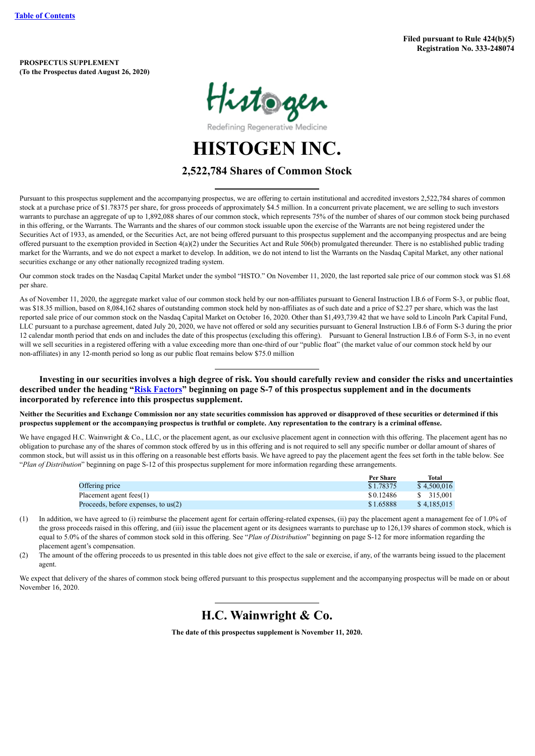**PROSPECTUS SUPPLEMENT (To the Prospectus dated August 26, 2020)**



Redefining Regenerative Medicine

**HISTOGEN INC.**

# **2,522,784 Shares of Common Stock**

Pursuant to this prospectus supplement and the accompanying prospectus, we are offering to certain institutional and accredited investors 2,522,784 shares of common stock at a purchase price of \$1.78375 per share, for gross proceeds of approximately \$4.5 million. In a concurrent private placement, we are selling to such investors warrants to purchase an aggregate of up to 1,892,088 shares of our common stock, which represents 75% of the number of shares of our common stock being purchased in this offering, or the Warrants. The Warrants and the shares of our common stock issuable upon the exercise of the Warrants are not being registered under the Securities Act of 1933, as amended, or the Securities Act, are not being offered pursuant to this prospectus supplement and the accompanying prospectus and are being offered pursuant to the exemption provided in Section  $4(a)(2)$  under the Securities Act and Rule 506(b) promulgated thereunder. There is no established public trading market for the Warrants, and we do not expect a market to develop. In addition, we do not intend to list the Warrants on the Nasdaq Capital Market, any other national securities exchange or any other nationally recognized trading system.

Our common stock trades on the Nasdaq Capital Market under the symbol "HSTO." On November 11, 2020, the last reported sale price of our common stock was \$1.68 per share.

As of November 11, 2020, the aggregate market value of our common stock held by our non-affiliates pursuant to General Instruction I.B.6 of Form S-3, or public float, was \$18.35 million, based on 8,084,162 shares of outstanding common stock held by non-affiliates as of such date and a price of \$2.27 per share, which was the last reported sale price of our common stock on the Nasdaq Capital Market on October 16, 2020. Other than \$1,493,739.42 that we have sold to Lincoln Park Capital Fund, LLC pursuant to a purchase agreement, dated July 20, 2020, we have not offered or sold any securities pursuant to General Instruction I.B.6 of Form S-3 during the prior 12 calendar month period that ends on and includes the date of this prospectus (excluding this offering). Pursuant to General Instruction I.B.6 of Form S-3, in no event will we sell securities in a registered offering with a value exceeding more than one-third of our "public float" (the market value of our common stock held by our non-affiliates) in any 12-month period so long as our public float remains below \$75.0 million

Investing in our securities involves a high degree of risk. You should carefully review and consider the risks and uncertainties described under the heading "Risk [Factors"](#page-10-0) beginning on page S-7 of this prospectus supplement and in the documents **incorporated by reference into this prospectus supplement.**

**Neither the Securities and Exchange Commission nor any state securities commission has approved or disapproved of these securities or determined if this prospectus supplement or the accompanying prospectus is truthful or complete. Any representation to the contrary is a criminal offense.**

We have engaged H.C. Wainwright & Co., LLC, or the placement agent, as our exclusive placement agent in connection with this offering. The placement agent has no obligation to purchase any of the shares of common stock offered by us in this offering and is not required to sell any specific number or dollar amount of shares of common stock, but will assist us in this offering on a reasonable best efforts basis. We have agreed to pay the placement agent the fees set forth in the table below. See "*Plan of Distribution*" beginning on page S-12 of this prospectus supplement for more information regarding these arrangements.

|                                       | <b>Per Share</b> | Total       |
|---------------------------------------|------------------|-------------|
| Offering price                        | \$1.78375        | \$4,500,016 |
| Placement agent fees(1)               | \$0.12486        | \$ 315.001  |
| Proceeds, before expenses, to $us(2)$ | \$1.65888        | \$4.185.015 |

- (1) In addition, we have agreed to (i) reimburse the placement agent for certain offering-related expenses, (ii) pay the placement agent a management fee of 1.0% of the gross proceeds raised in this offering, and (iii) issue the placement agent or its designees warrants to purchase up to 126,139 shares of common stock, which is equal to 5.0% of the shares of common stock sold in this offering. See "*Plan of Distribution*" beginning on page S-12 for more information regarding the placement agent's compensation.
- (2) The amount of the offering proceeds to us presented in this table does not give effect to the sale or exercise, if any, of the warrants being issued to the placement agent.

We expect that delivery of the shares of common stock being offered pursuant to this prospectus supplement and the accompanying prospectus will be made on or about November 16, 2020.

# **H.C. Wainwright & Co.**

**The date of this prospectus supplement is November 11, 2020.**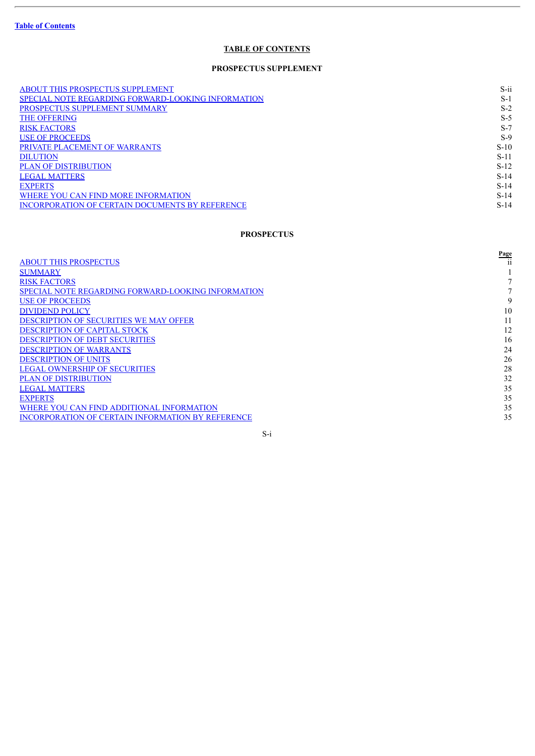$\overline{a}$ 

# **TABLE OF CONTENTS**

# **PROSPECTUS SUPPLEMENT**

<span id="page-1-0"></span>

| <b>ABOUT THIS PROSPECTUS SUPPLEMENT</b>                   | $S$ -ii |
|-----------------------------------------------------------|---------|
| <b>SPECIAL NOTE REGARDING FORWARD-LOOKING INFORMATION</b> | $S-1$   |
| PROSPECTUS SUPPLEMENT SUMMARY                             | $S-2$   |
| <b>THE OFFERING</b>                                       | $S-5$   |
| <b>RISK FACTORS</b>                                       | $S-7$   |
| <b>USE OF PROCEEDS</b>                                    | $S-9$   |
| PRIVATE PLACEMENT OF WARRANTS                             | $S-10$  |
| <b>DILUTION</b>                                           | $S-11$  |
| <b>PLAN OF DISTRIBUTION</b>                               | $S-12$  |
| <b>LEGAL MATTERS</b>                                      | $S-14$  |
| <b>EXPERTS</b>                                            | $S-14$  |
| WHERE YOU CAN FIND MORE INFORMATION                       | $S-14$  |
| INCORPORATION OF CERTAIN DOCUMENTS BY REFERENCE           | $S-14$  |

# **PROSPECTUS**

|                                                           | <b>Page</b> |
|-----------------------------------------------------------|-------------|
| <b>ABOUT THIS PROSPECTUS</b>                              |             |
| <b>SUMMARY</b>                                            |             |
| <b>RISK FACTORS</b>                                       |             |
| <b>SPECIAL NOTE REGARDING FORWARD-LOOKING INFORMATION</b> |             |
| <b>USE OF PROCEEDS</b>                                    | 9           |
| <b>DIVIDEND POLICY</b>                                    | 10          |
| <b>DESCRIPTION OF SECURITIES WE MAY OFFER</b>             | 11          |
| <b>DESCRIPTION OF CAPITAL STOCK</b>                       | 12          |
| <b>DESCRIPTION OF DEBT SECURITIES</b>                     | 16          |
| <b>DESCRIPTION OF WARRANTS</b>                            | 24          |
| <b>DESCRIPTION OF UNITS</b>                               | 26          |
| <b>LEGAL OWNERSHIP OF SECURITIES</b>                      | 28          |
| <b>PLAN OF DISTRIBUTION</b>                               | 32          |
| <b>LEGAL MATTERS</b>                                      | 35          |
| <b>EXPERTS</b>                                            | 35          |
| WHERE YOU CAN FIND ADDITIONAL INFORMATION                 | 35          |
| <b>INCORPORATION OF CERTAIN INFORMATION BY REFERENCE</b>  | 35          |
|                                                           |             |

S-i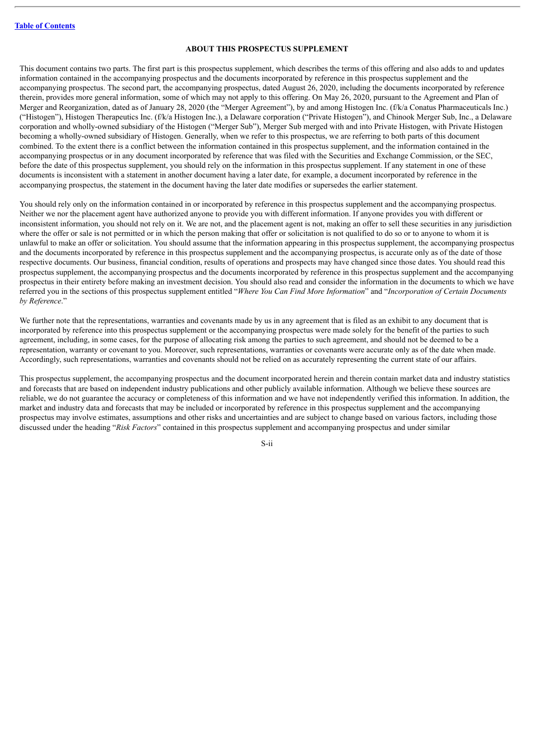## **ABOUT THIS PROSPECTUS SUPPLEMENT**

<span id="page-2-0"></span>This document contains two parts. The first part is this prospectus supplement, which describes the terms of this offering and also adds to and updates information contained in the accompanying prospectus and the documents incorporated by reference in this prospectus supplement and the accompanying prospectus. The second part, the accompanying prospectus, dated August 26, 2020, including the documents incorporated by reference therein, provides more general information, some of which may not apply to this offering. On May 26, 2020, pursuant to the Agreement and Plan of Merger and Reorganization, dated as of January 28, 2020 (the "Merger Agreement"), by and among Histogen Inc. (f/k/a Conatus Pharmaceuticals Inc.) ("Histogen"), Histogen Therapeutics Inc. (f/k/a Histogen Inc.), a Delaware corporation ("Private Histogen"), and Chinook Merger Sub, Inc., a Delaware corporation and wholly-owned subsidiary of the Histogen ("Merger Sub"), Merger Sub merged with and into Private Histogen, with Private Histogen becoming a wholly-owned subsidiary of Histogen. Generally, when we refer to this prospectus, we are referring to both parts of this document combined. To the extent there is a conflict between the information contained in this prospectus supplement, and the information contained in the accompanying prospectus or in any document incorporated by reference that was filed with the Securities and Exchange Commission, or the SEC, before the date of this prospectus supplement, you should rely on the information in this prospectus supplement. If any statement in one of these documents is inconsistent with a statement in another document having a later date, for example, a document incorporated by reference in the accompanying prospectus, the statement in the document having the later date modifies or supersedes the earlier statement.

You should rely only on the information contained in or incorporated by reference in this prospectus supplement and the accompanying prospectus. Neither we nor the placement agent have authorized anyone to provide you with different information. If anyone provides you with different or inconsistent information, you should not rely on it. We are not, and the placement agent is not, making an offer to sell these securities in any jurisdiction where the offer or sale is not permitted or in which the person making that offer or solicitation is not qualified to do so or to anyone to whom it is unlawful to make an offer or solicitation. You should assume that the information appearing in this prospectus supplement, the accompanying prospectus and the documents incorporated by reference in this prospectus supplement and the accompanying prospectus, is accurate only as of the date of those respective documents. Our business, financial condition, results of operations and prospects may have changed since those dates. You should read this prospectus supplement, the accompanying prospectus and the documents incorporated by reference in this prospectus supplement and the accompanying prospectus in their entirety before making an investment decision. You should also read and consider the information in the documents to which we have referred you in the sections of this prospectus supplement entitled "*Where You Can Find More Information*" and "*Incorporation of Certain Documents by Reference*."

We further note that the representations, warranties and covenants made by us in any agreement that is filed as an exhibit to any document that is incorporated by reference into this prospectus supplement or the accompanying prospectus were made solely for the benefit of the parties to such agreement, including, in some cases, for the purpose of allocating risk among the parties to such agreement, and should not be deemed to be a representation, warranty or covenant to you. Moreover, such representations, warranties or covenants were accurate only as of the date when made. Accordingly, such representations, warranties and covenants should not be relied on as accurately representing the current state of our affairs.

This prospectus supplement, the accompanying prospectus and the document incorporated herein and therein contain market data and industry statistics and forecasts that are based on independent industry publications and other publicly available information. Although we believe these sources are reliable, we do not guarantee the accuracy or completeness of this information and we have not independently verified this information. In addition, the market and industry data and forecasts that may be included or incorporated by reference in this prospectus supplement and the accompanying prospectus may involve estimates, assumptions and other risks and uncertainties and are subject to change based on various factors, including those discussed under the heading "*Risk Factors*" contained in this prospectus supplement and accompanying prospectus and under similar

S-ii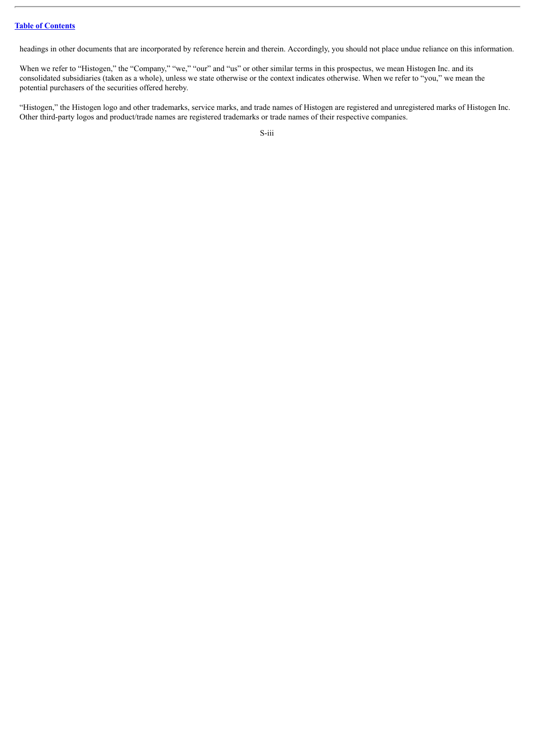headings in other documents that are incorporated by reference herein and therein. Accordingly, you should not place undue reliance on this information.

When we refer to "Histogen," the "Company," "we," "our" and "us" or other similar terms in this prospectus, we mean Histogen Inc. and its consolidated subsidiaries (taken as a whole), unless we state otherwise or the context indicates otherwise. When we refer to "you," we mean the potential purchasers of the securities offered hereby.

"Histogen," the Histogen logo and other trademarks, service marks, and trade names of Histogen are registered and unregistered marks of Histogen Inc. Other third-party logos and product/trade names are registered trademarks or trade names of their respective companies.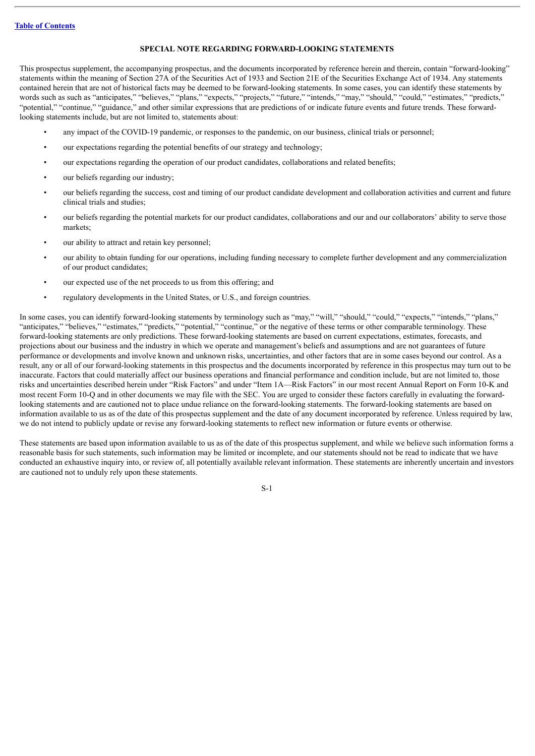#### **SPECIAL NOTE REGARDING FORWARD-LOOKING STATEMENTS**

<span id="page-4-0"></span>This prospectus supplement, the accompanying prospectus, and the documents incorporated by reference herein and therein, contain "forward-looking" statements within the meaning of Section 27A of the Securities Act of 1933 and Section 21E of the Securities Exchange Act of 1934. Any statements contained herein that are not of historical facts may be deemed to be forward-looking statements. In some cases, you can identify these statements by words such as such as "anticipates," "believes," "plans," "expects," "projects," "future," "intends," "may," "should," "could," "estimates," "predicts," "potential," "continue," "guidance," and other similar expressions that are predictions of or indicate future events and future trends. These forwardlooking statements include, but are not limited to, statements about:

- any impact of the COVID-19 pandemic, or responses to the pandemic, on our business, clinical trials or personnel;
- our expectations regarding the potential benefits of our strategy and technology;
- our expectations regarding the operation of our product candidates, collaborations and related benefits;
- our beliefs regarding our industry;
- our beliefs regarding the success, cost and timing of our product candidate development and collaboration activities and current and future clinical trials and studies;
- our beliefs regarding the potential markets for our product candidates, collaborations and our and our collaborators' ability to serve those markets;
- our ability to attract and retain key personnel;
- our ability to obtain funding for our operations, including funding necessary to complete further development and any commercialization of our product candidates;
- our expected use of the net proceeds to us from this offering; and
- regulatory developments in the United States, or U.S., and foreign countries.

In some cases, you can identify forward-looking statements by terminology such as "may," "will," "should," "could," "expects," "intends," "plans," "anticipates," "believes," "estimates," "predicts," "potential," "continue," or the negative of these terms or other comparable terminology. These forward-looking statements are only predictions. These forward-looking statements are based on current expectations, estimates, forecasts, and projections about our business and the industry in which we operate and management's beliefs and assumptions and are not guarantees of future performance or developments and involve known and unknown risks, uncertainties, and other factors that are in some cases beyond our control. As a result, any or all of our forward-looking statements in this prospectus and the documents incorporated by reference in this prospectus may turn out to be inaccurate. Factors that could materially affect our business operations and financial performance and condition include, but are not limited to, those risks and uncertainties described herein under "Risk Factors" and under "Item 1A—Risk Factors" in our most recent Annual Report on Form 10-K and most recent Form 10-Q and in other documents we may file with the SEC. You are urged to consider these factors carefully in evaluating the forwardlooking statements and are cautioned not to place undue reliance on the forward-looking statements. The forward-looking statements are based on information available to us as of the date of this prospectus supplement and the date of any document incorporated by reference. Unless required by law, we do not intend to publicly update or revise any forward-looking statements to reflect new information or future events or otherwise.

These statements are based upon information available to us as of the date of this prospectus supplement, and while we believe such information forms a reasonable basis for such statements, such information may be limited or incomplete, and our statements should not be read to indicate that we have conducted an exhaustive inquiry into, or review of, all potentially available relevant information. These statements are inherently uncertain and investors are cautioned not to unduly rely upon these statements.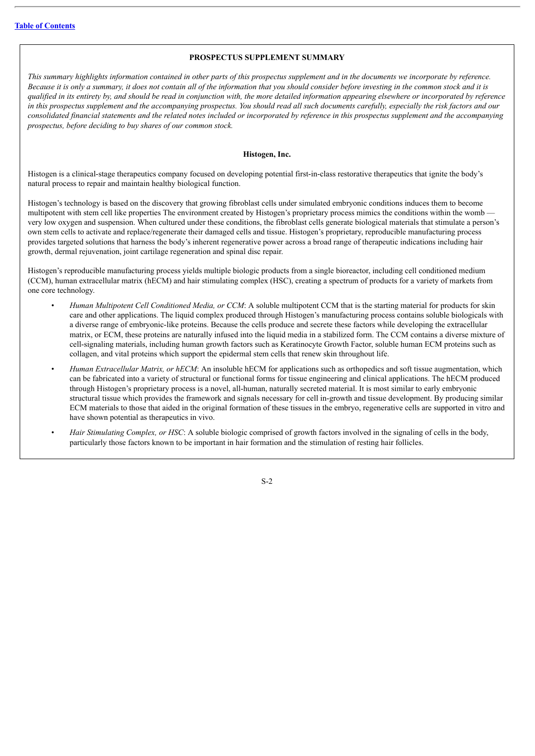#### **PROSPECTUS SUPPLEMENT SUMMARY**

<span id="page-5-0"></span>This summary highlights information contained in other parts of this prospectus supplement and in the documents we incorporate by reference. Because it is only a summary, it does not contain all of the information that you should consider before investing in the common stock and it is qualified in its entirety by, and should be read in conjunction with, the more detailed information appearing elsewhere or incorporated by reference in this prospectus supplement and the accompanying prospectus. You should read all such documents carefully, especially the risk factors and our consolidated financial statements and the related notes included or incorporated by reference in this prospectus supplement and the accompanying *prospectus, before deciding to buy shares of our common stock.*

#### **Histogen, Inc.**

Histogen is a clinical-stage therapeutics company focused on developing potential first-in-class restorative therapeutics that ignite the body's natural process to repair and maintain healthy biological function.

Histogen's technology is based on the discovery that growing fibroblast cells under simulated embryonic conditions induces them to become multipotent with stem cell like properties The environment created by Histogen's proprietary process mimics the conditions within the wombvery low oxygen and suspension. When cultured under these conditions, the fibroblast cells generate biological materials that stimulate a person's own stem cells to activate and replace/regenerate their damaged cells and tissue. Histogen's proprietary, reproducible manufacturing process provides targeted solutions that harness the body's inherent regenerative power across a broad range of therapeutic indications including hair growth, dermal rejuvenation, joint cartilage regeneration and spinal disc repair.

Histogen's reproducible manufacturing process yields multiple biologic products from a single bioreactor, including cell conditioned medium (CCM), human extracellular matrix (hECM) and hair stimulating complex (HSC), creating a spectrum of products for a variety of markets from one core technology.

- *Human Multipotent Cell Conditioned Media, or CCM*: A soluble multipotent CCM that is the starting material for products for skin care and other applications. The liquid complex produced through Histogen's manufacturing process contains soluble biologicals with a diverse range of embryonic-like proteins. Because the cells produce and secrete these factors while developing the extracellular matrix, or ECM, these proteins are naturally infused into the liquid media in a stabilized form. The CCM contains a diverse mixture of cell-signaling materials, including human growth factors such as Keratinocyte Growth Factor, soluble human ECM proteins such as collagen, and vital proteins which support the epidermal stem cells that renew skin throughout life.
- *Human Extracellular Matrix, or hECM*: An insoluble hECM for applications such as orthopedics and soft tissue augmentation, which can be fabricated into a variety of structural or functional forms for tissue engineering and clinical applications. The hECM produced through Histogen's proprietary process is a novel, all-human, naturally secreted material. It is most similar to early embryonic structural tissue which provides the framework and signals necessary for cell in-growth and tissue development. By producing similar ECM materials to those that aided in the original formation of these tissues in the embryo, regenerative cells are supported in vitro and have shown potential as therapeutics in vivo.
- *Hair Stimulating Complex, or HSC*: A soluble biologic comprised of growth factors involved in the signaling of cells in the body, particularly those factors known to be important in hair formation and the stimulation of resting hair follicles.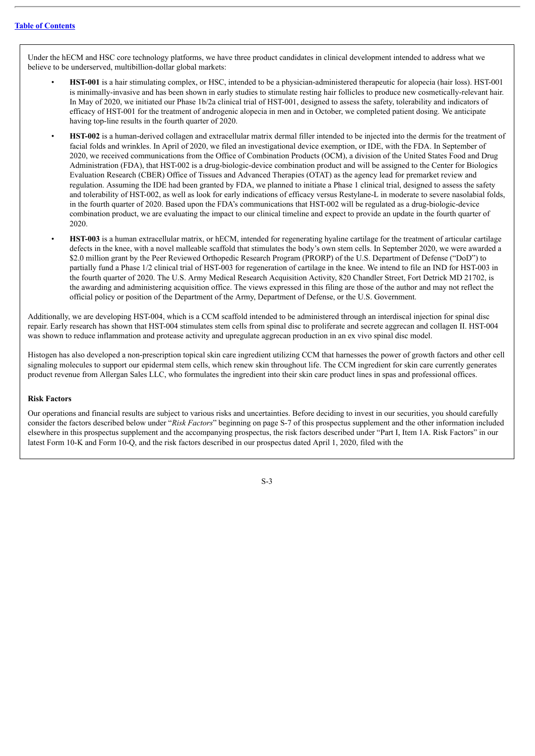Under the hECM and HSC core technology platforms, we have three product candidates in clinical development intended to address what we believe to be underserved, multibillion-dollar global markets:

- **HST-001** is a hair stimulating complex, or HSC, intended to be a physician-administered therapeutic for alopecia (hair loss). HST-001 is minimally-invasive and has been shown in early studies to stimulate resting hair follicles to produce new cosmetically-relevant hair. In May of 2020, we initiated our Phase 1b/2a clinical trial of HST-001, designed to assess the safety, tolerability and indicators of efficacy of HST-001 for the treatment of androgenic alopecia in men and in October, we completed patient dosing. We anticipate having top-line results in the fourth quarter of 2020.
- **HST-002** is a human-derived collagen and extracellular matrix dermal filler intended to be injected into the dermis for the treatment of facial folds and wrinkles. In April of 2020, we filed an investigational device exemption, or IDE, with the FDA. In September of 2020, we received communications from the Office of Combination Products (OCM), a division of the United States Food and Drug Administration (FDA), that HST-002 is a drug-biologic-device combination product and will be assigned to the Center for Biologics Evaluation Research (CBER) Office of Tissues and Advanced Therapies (OTAT) as the agency lead for premarket review and regulation. Assuming the IDE had been granted by FDA, we planned to initiate a Phase 1 clinical trial, designed to assess the safety and tolerability of HST-002, as well as look for early indications of efficacy versus Restylane-L in moderate to severe nasolabial folds, in the fourth quarter of 2020. Based upon the FDA's communications that HST-002 will be regulated as a drug-biologic-device combination product, we are evaluating the impact to our clinical timeline and expect to provide an update in the fourth quarter of 2020.
- **HST-003** is a human extracellular matrix, or hECM, intended for regenerating hyaline cartilage for the treatment of articular cartilage defects in the knee, with a novel malleable scaffold that stimulates the body's own stem cells. In September 2020, we were awarded a \$2.0 million grant by the Peer Reviewed Orthopedic Research Program (PRORP) of the U.S. Department of Defense ("DoD") to partially fund a Phase 1/2 clinical trial of HST-003 for regeneration of cartilage in the knee. We intend to file an IND for HST-003 in the fourth quarter of 2020. The U.S. Army Medical Research Acquisition Activity, 820 Chandler Street, Fort Detrick MD 21702, is the awarding and administering acquisition office. The views expressed in this filing are those of the author and may not reflect the official policy or position of the Department of the Army, Department of Defense, or the U.S. Government.

Additionally, we are developing HST-004, which is a CCM scaffold intended to be administered through an interdiscal injection for spinal disc repair. Early research has shown that HST-004 stimulates stem cells from spinal disc to proliferate and secrete aggrecan and collagen II. HST-004 was shown to reduce inflammation and protease activity and upregulate aggrecan production in an ex vivo spinal disc model.

Histogen has also developed a non-prescription topical skin care ingredient utilizing CCM that harnesses the power of growth factors and other cell signaling molecules to support our epidermal stem cells, which renew skin throughout life. The CCM ingredient for skin care currently generates product revenue from Allergan Sales LLC, who formulates the ingredient into their skin care product lines in spas and professional offices.

#### **Risk Factors**

Our operations and financial results are subject to various risks and uncertainties. Before deciding to invest in our securities, you should carefully consider the factors described below under "*Risk Factors*" beginning on page S-7 of this prospectus supplement and the other information included elsewhere in this prospectus supplement and the accompanying prospectus, the risk factors described under "Part I, Item 1A. Risk Factors" in our latest Form 10-K and Form 10-Q, and the risk factors described in our prospectus dated April 1, 2020, filed with the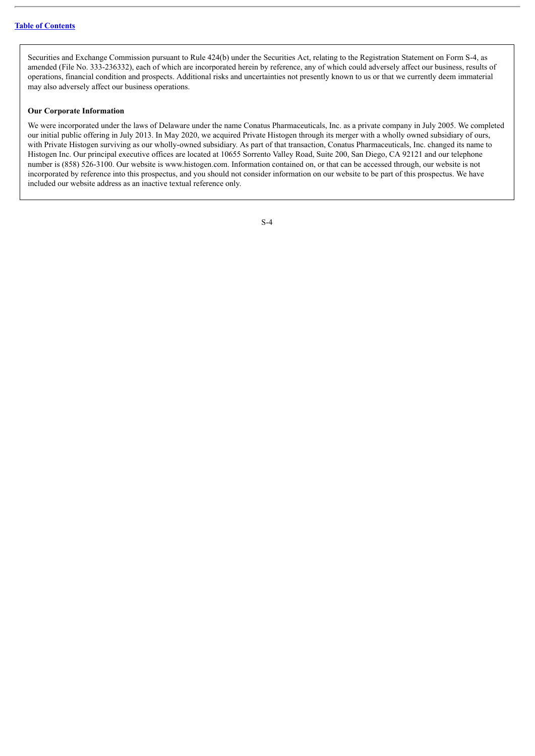Securities and Exchange Commission pursuant to Rule 424(b) under the Securities Act, relating to the Registration Statement on Form S-4, as amended (File No. 333-236332), each of which are incorporated herein by reference, any of which could adversely affect our business, results of operations, financial condition and prospects. Additional risks and uncertainties not presently known to us or that we currently deem immaterial may also adversely affect our business operations.

#### **Our Corporate Information**

We were incorporated under the laws of Delaware under the name Conatus Pharmaceuticals, Inc. as a private company in July 2005. We completed our initial public offering in July 2013. In May 2020, we acquired Private Histogen through its merger with a wholly owned subsidiary of ours, with Private Histogen surviving as our wholly-owned subsidiary. As part of that transaction, Conatus Pharmaceuticals, Inc. changed its name to Histogen Inc. Our principal executive offices are located at 10655 Sorrento Valley Road, Suite 200, San Diego, CA 92121 and our telephone number is (858) 526-3100. Our website is www.histogen.com. Information contained on, or that can be accessed through, our website is not incorporated by reference into this prospectus, and you should not consider information on our website to be part of this prospectus. We have included our website address as an inactive textual reference only.

| i             |  |
|---------------|--|
| ۰.<br>۰.<br>v |  |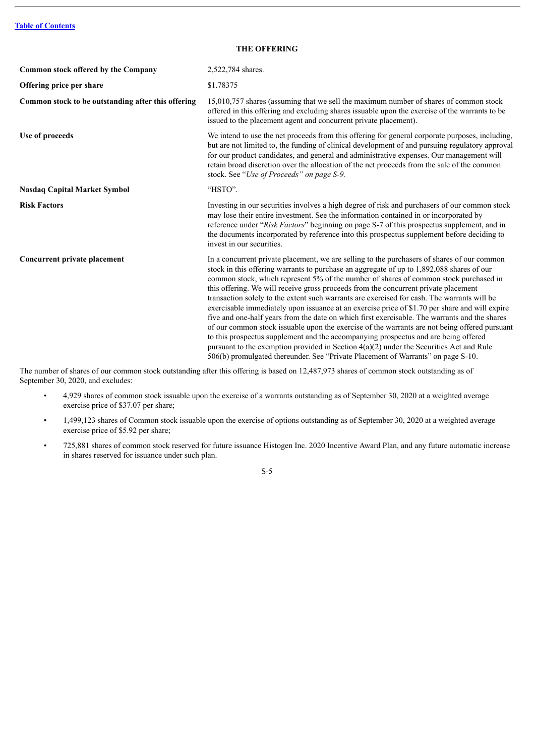<span id="page-8-0"></span>

| <b>Common stock offered by the Company</b>         | 2,522,784 shares.                                                                                                                                                                                                                                                                                                                                                                                                                                                                                                                                                                                                                                                                                                                                                                                                                                                                                                                                                                                                                                   |
|----------------------------------------------------|-----------------------------------------------------------------------------------------------------------------------------------------------------------------------------------------------------------------------------------------------------------------------------------------------------------------------------------------------------------------------------------------------------------------------------------------------------------------------------------------------------------------------------------------------------------------------------------------------------------------------------------------------------------------------------------------------------------------------------------------------------------------------------------------------------------------------------------------------------------------------------------------------------------------------------------------------------------------------------------------------------------------------------------------------------|
| Offering price per share                           | \$1.78375                                                                                                                                                                                                                                                                                                                                                                                                                                                                                                                                                                                                                                                                                                                                                                                                                                                                                                                                                                                                                                           |
| Common stock to be outstanding after this offering | 15,010,757 shares (assuming that we sell the maximum number of shares of common stock<br>offered in this offering and excluding shares issuable upon the exercise of the warrants to be<br>issued to the placement agent and concurrent private placement).                                                                                                                                                                                                                                                                                                                                                                                                                                                                                                                                                                                                                                                                                                                                                                                         |
| Use of proceeds                                    | We intend to use the net proceeds from this offering for general corporate purposes, including,<br>but are not limited to, the funding of clinical development of and pursuing regulatory approval<br>for our product candidates, and general and administrative expenses. Our management will<br>retain broad discretion over the allocation of the net proceeds from the sale of the common<br>stock. See "Use of Proceeds" on page S-9.                                                                                                                                                                                                                                                                                                                                                                                                                                                                                                                                                                                                          |
| <b>Nasdaq Capital Market Symbol</b>                | "HSTO".                                                                                                                                                                                                                                                                                                                                                                                                                                                                                                                                                                                                                                                                                                                                                                                                                                                                                                                                                                                                                                             |
| <b>Risk Factors</b>                                | Investing in our securities involves a high degree of risk and purchasers of our common stock<br>may lose their entire investment. See the information contained in or incorporated by<br>reference under "Risk Factors" beginning on page S-7 of this prospectus supplement, and in<br>the documents incorporated by reference into this prospectus supplement before deciding to<br>invest in our securities.                                                                                                                                                                                                                                                                                                                                                                                                                                                                                                                                                                                                                                     |
| <b>Concurrent private placement</b>                | In a concurrent private placement, we are selling to the purchasers of shares of our common<br>stock in this offering warrants to purchase an aggregate of up to 1,892,088 shares of our<br>common stock, which represent 5% of the number of shares of common stock purchased in<br>this offering. We will receive gross proceeds from the concurrent private placement<br>transaction solely to the extent such warrants are exercised for cash. The warrants will be<br>exercisable immediately upon issuance at an exercise price of \$1.70 per share and will expire<br>five and one-half years from the date on which first exercisable. The warrants and the shares<br>of our common stock issuable upon the exercise of the warrants are not being offered pursuant<br>to this prospectus supplement and the accompanying prospectus and are being offered<br>pursuant to the exemption provided in Section $4(a)(2)$ under the Securities Act and Rule<br>506(b) promulgated thereunder. See "Private Placement of Warrants" on page S-10. |

The number of shares of our common stock outstanding after this offering is based on 12,487,973 shares of common stock outstanding as of September 30, 2020, and excludes:

- 4,929 shares of common stock issuable upon the exercise of a warrants outstanding as of September 30, 2020 at a weighted average exercise price of \$37.07 per share;
- 1,499,123 shares of Common stock issuable upon the exercise of options outstanding as of September 30, 2020 at a weighted average exercise price of \$5.92 per share;
- 725,881 shares of common stock reserved for future issuance Histogen Inc. 2020 Incentive Award Plan, and any future automatic increase in shares reserved for issuance under such plan.

S-5

# **THE OFFERING**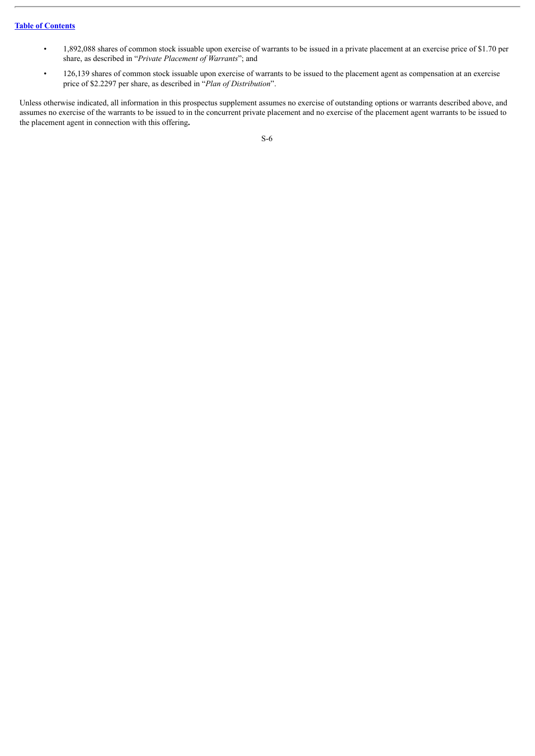- 1,892,088 shares of common stock issuable upon exercise of warrants to be issued in a private placement at an exercise price of \$1.70 per share, as described in "*Private Placement of Warrants*"; and
- 126,139 shares of common stock issuable upon exercise of warrants to be issued to the placement agent as compensation at an exercise price of \$2.2297 per share, as described in "*Plan of Distribution*".

Unless otherwise indicated, all information in this prospectus supplement assumes no exercise of outstanding options or warrants described above, and assumes no exercise of the warrants to be issued to in the concurrent private placement and no exercise of the placement agent warrants to be issued to the placement agent in connection with this offering**.**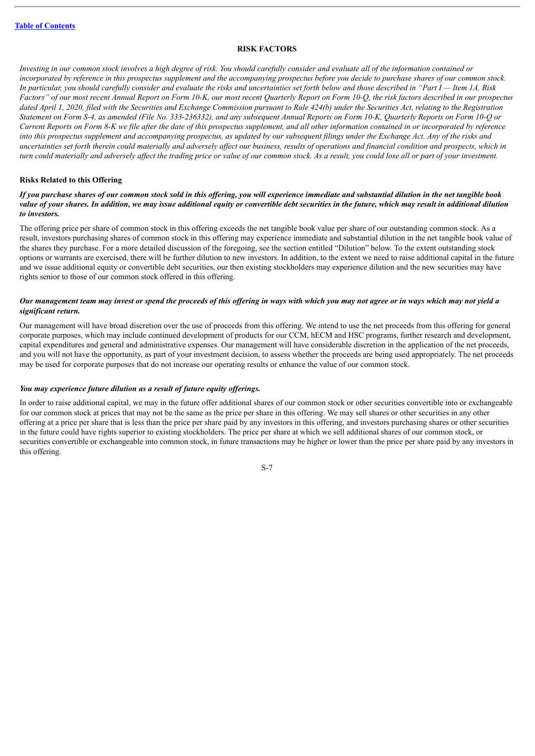#### **RISK FACTORS**

<span id="page-10-0"></span>Investing in our common stock involves a high degree of risk. You should carefully consider and evaluate all of the information contained or incorporated by reference in this prospectus supplement and the accompanying prospectus before you decide to purchase shares of our common stock. In particular, you should carefully consider and evaluate the risks and uncertainties set forth below and those described in "Part  $I$ —Item 1A. Risk Factors" of our most recent Annual Report on Form 10-K, our most recent Quarterly Report on Form 10-Q, the risk factors described in our prospectus dated April 1, 2020, filed with the Securities and Exchange Commission pursuant to Rule 424(b) under the Securities Act, relating to the Registration Statement on Form S-4, as amended (File No. 333-236332), and any subsequent Annual Reports on Form 10-K, Quarterly Reports on Form 10-Q or Current Reports on Form 8-K we file after the date of this prospectus supplement, and all other information contained in or incorporated by reference into this prospectus supplement and accompanying prospectus, as updated by our subsequent filings under the Exchange Act. Any of the risks and uncertainties set forth therein could materially and adversely affect our business, results of operations and financial condition and prospects, which in turn could materially and adversely affect the trading price or value of our common stock. As a result, you could lose all or part of your investment.

#### **Risks Related to this Offering**

#### If you purchase shares of our common stock sold in this offering, you will experience immediate and substantial dilution in the net tangible book value of vour shares. In addition, we may issue additional equity or convertible debt securities in the future, which may result in additional dilution *to investors.*

The offering price per share of common stock in this offering exceeds the net tangible book value per share of our outstanding common stock. As a result, investors purchasing shares of common stock in this offering may experience immediate and substantial dilution in the net tangible book value of the shares they purchase. For a more detailed discussion of the foregoing, see the section entitled "Dilution" below. To the extent outstanding stock options or warrants are exercised, there will be further dilution to new investors. In addition, to the extent we need to raise additional capital in the future and we issue additional equity or convertible debt securities, our then existing stockholders may experience dilution and the new securities may have rights senior to those of our common stock offered in this offering.

#### Our management team may invest or spend the proceeds of this offering in ways with which you may not agree or in ways which may not yield a *significant return.*

Our management will have broad discretion over the use of proceeds from this offering. We intend to use the net proceeds from this offering for general corporate purposes, which may include continued development of products for our CCM, hECM and HSC programs, further research and development, capital expenditures and general and administrative expenses. Our management will have considerable discretion in the application of the net proceeds, and you will not have the opportunity, as part of your investment decision, to assess whether the proceeds are being used appropriately. The net proceeds may be used for corporate purposes that do not increase our operating results or enhance the value of our common stock.

#### *You may experience future dilution as a result of future equity of erings.*

In order to raise additional capital, we may in the future offer additional shares of our common stock or other securities convertible into or exchangeable for our common stock at prices that may not be the same as the price per share in this offering. We may sell shares or other securities in any other offering at a price per share that is less than the price per share paid by any investors in this offering, and investors purchasing shares or other securities in the future could have rights superior to existing stockholders. The price per share at which we sell additional shares of our common stock, or securities convertible or exchangeable into common stock, in future transactions may be higher or lower than the price per share paid by any investors in this offering.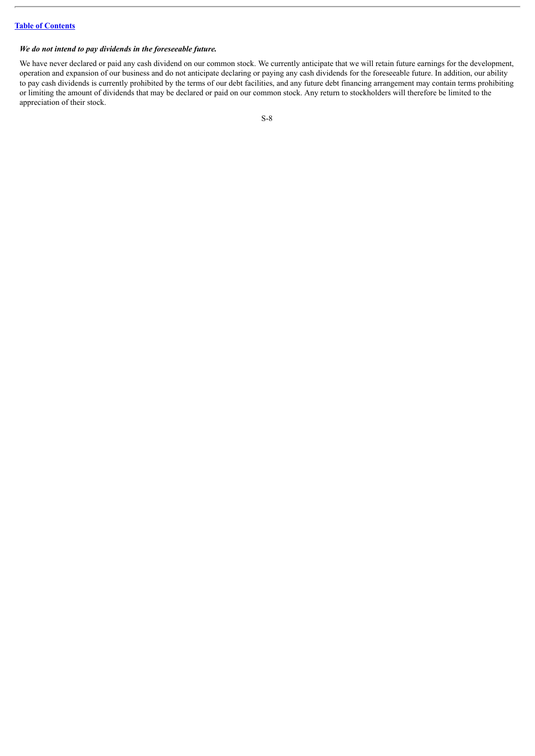# *We do not intend to pay dividends in the foreseeable future.*

We have never declared or paid any cash dividend on our common stock. We currently anticipate that we will retain future earnings for the development, operation and expansion of our business and do not anticipate declaring or paying any cash dividends for the foreseeable future. In addition, our ability to pay cash dividends is currently prohibited by the terms of our debt facilities, and any future debt financing arrangement may contain terms prohibiting or limiting the amount of dividends that may be declared or paid on our common stock. Any return to stockholders will therefore be limited to the appreciation of their stock.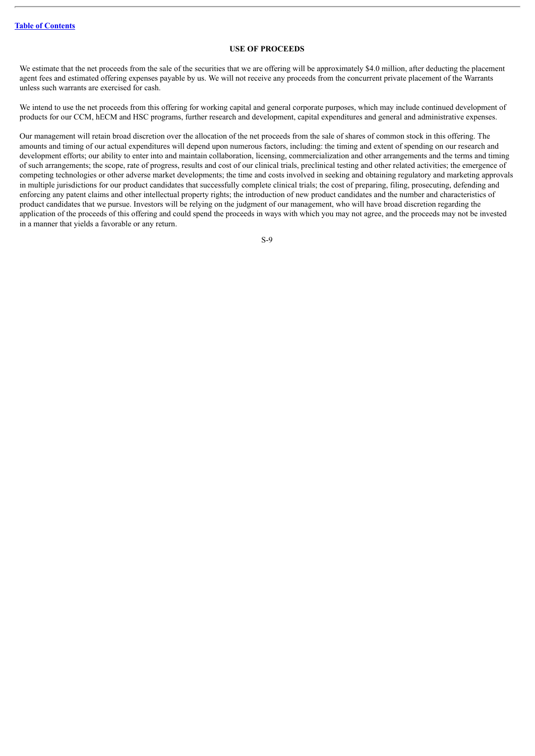# **USE OF PROCEEDS**

<span id="page-12-0"></span>We estimate that the net proceeds from the sale of the securities that we are offering will be approximately \$4.0 million, after deducting the placement agent fees and estimated offering expenses payable by us. We will not receive any proceeds from the concurrent private placement of the Warrants unless such warrants are exercised for cash.

We intend to use the net proceeds from this offering for working capital and general corporate purposes, which may include continued development of products for our CCM, hECM and HSC programs, further research and development, capital expenditures and general and administrative expenses.

Our management will retain broad discretion over the allocation of the net proceeds from the sale of shares of common stock in this offering. The amounts and timing of our actual expenditures will depend upon numerous factors, including: the timing and extent of spending on our research and development efforts; our ability to enter into and maintain collaboration, licensing, commercialization and other arrangements and the terms and timing of such arrangements; the scope, rate of progress, results and cost of our clinical trials, preclinical testing and other related activities; the emergence of competing technologies or other adverse market developments; the time and costs involved in seeking and obtaining regulatory and marketing approvals in multiple jurisdictions for our product candidates that successfully complete clinical trials; the cost of preparing, filing, prosecuting, defending and enforcing any patent claims and other intellectual property rights; the introduction of new product candidates and the number and characteristics of product candidates that we pursue. Investors will be relying on the judgment of our management, who will have broad discretion regarding the application of the proceeds of this offering and could spend the proceeds in ways with which you may not agree, and the proceeds may not be invested in a manner that yields a favorable or any return.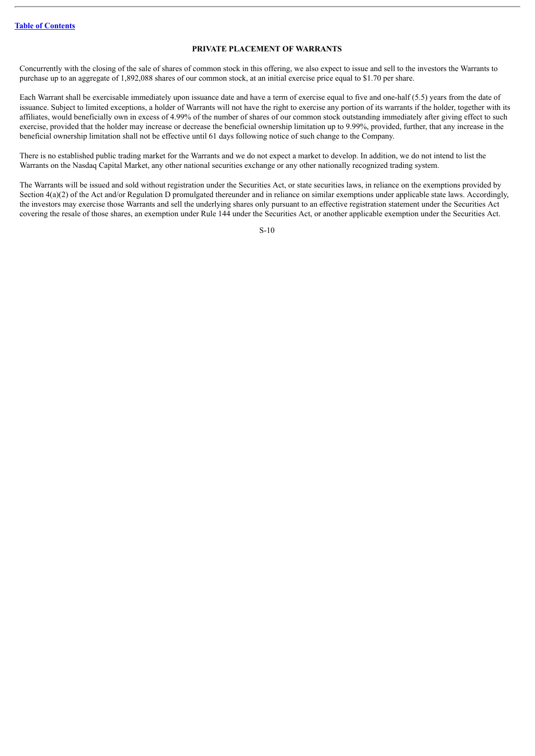#### **PRIVATE PLACEMENT OF WARRANTS**

<span id="page-13-0"></span>Concurrently with the closing of the sale of shares of common stock in this offering, we also expect to issue and sell to the investors the Warrants to purchase up to an aggregate of 1,892,088 shares of our common stock, at an initial exercise price equal to \$1.70 per share.

Each Warrant shall be exercisable immediately upon issuance date and have a term of exercise equal to five and one-half (5.5) years from the date of issuance. Subject to limited exceptions, a holder of Warrants will not have the right to exercise any portion of its warrants if the holder, together with its affiliates, would beneficially own in excess of 4.99% of the number of shares of our common stock outstanding immediately after giving effect to such exercise, provided that the holder may increase or decrease the beneficial ownership limitation up to 9.99%, provided, further, that any increase in the beneficial ownership limitation shall not be effective until 61 days following notice of such change to the Company.

There is no established public trading market for the Warrants and we do not expect a market to develop. In addition, we do not intend to list the Warrants on the Nasdaq Capital Market, any other national securities exchange or any other nationally recognized trading system.

The Warrants will be issued and sold without registration under the Securities Act, or state securities laws, in reliance on the exemptions provided by Section  $4(a)(2)$  of the Act and/or Regulation D promulgated thereunder and in reliance on similar exemptions under applicable state laws. Accordingly, the investors may exercise those Warrants and sell the underlying shares only pursuant to an effective registration statement under the Securities Act covering the resale of those shares, an exemption under Rule 144 under the Securities Act, or another applicable exemption under the Securities Act.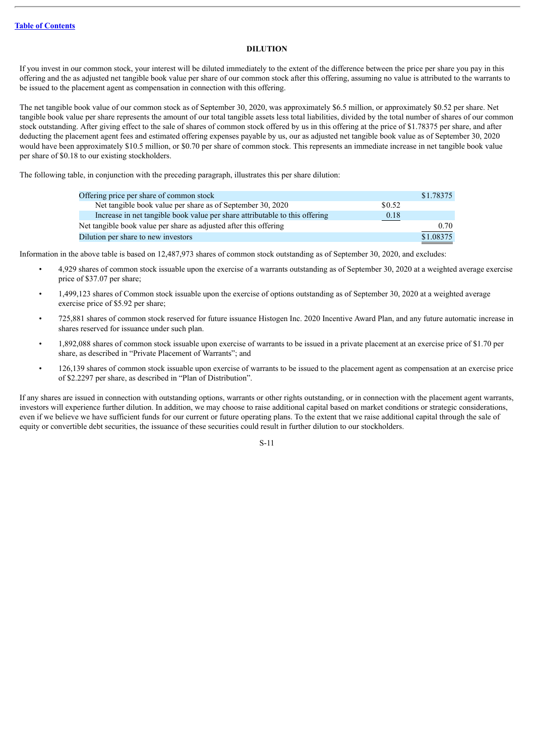#### **DILUTION**

<span id="page-14-0"></span>If you invest in our common stock, your interest will be diluted immediately to the extent of the difference between the price per share you pay in this offering and the as adjusted net tangible book value per share of our common stock after this offering, assuming no value is attributed to the warrants to be issued to the placement agent as compensation in connection with this offering.

The net tangible book value of our common stock as of September 30, 2020, was approximately \$6.5 million, or approximately \$0.52 per share. Net tangible book value per share represents the amount of our total tangible assets less total liabilities, divided by the total number of shares of our common stock outstanding. After giving effect to the sale of shares of common stock offered by us in this offering at the price of \$1.78375 per share, and after deducting the placement agent fees and estimated offering expenses payable by us, our as adjusted net tangible book value as of September 30, 2020 would have been approximately \$10.5 million, or \$0.70 per share of common stock. This represents an immediate increase in net tangible book value per share of \$0.18 to our existing stockholders.

The following table, in conjunction with the preceding paragraph, illustrates this per share dilution:

| Offering price per share of common stock                                    |        | \$1.78375 |
|-----------------------------------------------------------------------------|--------|-----------|
| Net tangible book value per share as of September 30, 2020                  | \$0.52 |           |
| Increase in net tangible book value per share attributable to this offering | 0.18   |           |
| Net tangible book value per share as adjusted after this offering           |        | 0.70      |
| Dilution per share to new investors                                         |        | \$1.08375 |

Information in the above table is based on 12,487,973 shares of common stock outstanding as of September 30, 2020, and excludes:

- 4,929 shares of common stock issuable upon the exercise of a warrants outstanding as of September 30, 2020 at a weighted average exercise price of \$37.07 per share;
- 1,499,123 shares of Common stock issuable upon the exercise of options outstanding as of September 30, 2020 at a weighted average exercise price of \$5.92 per share;
- 725,881 shares of common stock reserved for future issuance Histogen Inc. 2020 Incentive Award Plan, and any future automatic increase in shares reserved for issuance under such plan.
- 1,892,088 shares of common stock issuable upon exercise of warrants to be issued in a private placement at an exercise price of \$1.70 per share, as described in "Private Placement of Warrants"; and
- 126,139 shares of common stock issuable upon exercise of warrants to be issued to the placement agent as compensation at an exercise price of \$2.2297 per share, as described in "Plan of Distribution".

If any shares are issued in connection with outstanding options, warrants or other rights outstanding, or in connection with the placement agent warrants, investors will experience further dilution. In addition, we may choose to raise additional capital based on market conditions or strategic considerations, even if we believe we have sufficient funds for our current or future operating plans. To the extent that we raise additional capital through the sale of equity or convertible debt securities, the issuance of these securities could result in further dilution to our stockholders.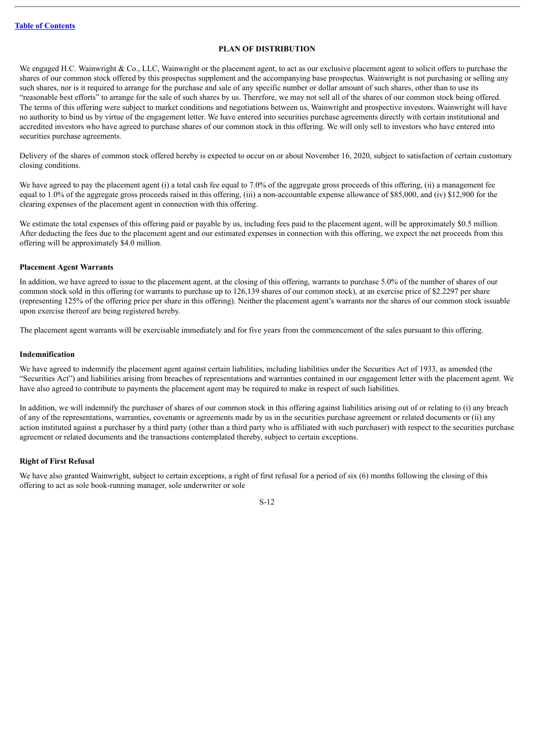#### **PLAN OF DISTRIBUTION**

<span id="page-15-0"></span>We engaged H.C. Wainwright & Co., LLC, Wainwright or the placement agent, to act as our exclusive placement agent to solicit offers to purchase the shares of our common stock offered by this prospectus supplement and the accompanying base prospectus. Wainwright is not purchasing or selling any such shares, nor is it required to arrange for the purchase and sale of any specific number or dollar amount of such shares, other than to use its "reasonable best efforts" to arrange for the sale of such shares by us. Therefore, we may not sell all of the shares of our common stock being offered. The terms of this offering were subject to market conditions and negotiations between us, Wainwright and prospective investors. Wainwright will have no authority to bind us by virtue of the engagement letter. We have entered into securities purchase agreements directly with certain institutional and accredited investors who have agreed to purchase shares of our common stock in this offering. We will only sell to investors who have entered into securities purchase agreements.

Delivery of the shares of common stock offered hereby is expected to occur on or about November 16, 2020, subject to satisfaction of certain customary closing conditions.

We have agreed to pay the placement agent (i) a total cash fee equal to 7.0% of the aggregate gross proceeds of this offering, (ii) a management fee equal to 1.0% of the aggregate gross proceeds raised in this offering, (iii) a non-accountable expense allowance of \$85,000, and (iv) \$12,900 for the clearing expenses of the placement agent in connection with this offering.

We estimate the total expenses of this offering paid or payable by us, including fees paid to the placement agent, will be approximately \$0.5 million. After deducting the fees due to the placement agent and our estimated expenses in connection with this offering, we expect the net proceeds from this offering will be approximately \$4.0 million.

#### **Placement Agent Warrants**

In addition, we have agreed to issue to the placement agent, at the closing of this offering, warrants to purchase 5.0% of the number of shares of our common stock sold in this offering (or warrants to purchase up to 126,139 shares of our common stock), at an exercise price of \$2.2297 per share (representing 125% of the offering price per share in this offering). Neither the placement agent's warrants nor the shares of our common stock issuable upon exercise thereof are being registered hereby.

The placement agent warrants will be exercisable immediately and for five years from the commencement of the sales pursuant to this offering.

#### **Indemnification**

We have agreed to indemnify the placement agent against certain liabilities, including liabilities under the Securities Act of 1933, as amended (the "Securities Act") and liabilities arising from breaches of representations and warranties contained in our engagement letter with the placement agent. We have also agreed to contribute to payments the placement agent may be required to make in respect of such liabilities.

In addition, we will indemnify the purchaser of shares of our common stock in this offering against liabilities arising out of or relating to (i) any breach of any of the representations, warranties, covenants or agreements made by us in the securities purchase agreement or related documents or (ii) any action instituted against a purchaser by a third party (other than a third party who is affiliated with such purchaser) with respect to the securities purchase agreement or related documents and the transactions contemplated thereby, subject to certain exceptions.

#### **Right of First Refusal**

We have also granted Wainwright, subject to certain exceptions, a right of first refusal for a period of six (6) months following the closing of this offering to act as sole book-running manager, sole underwriter or sole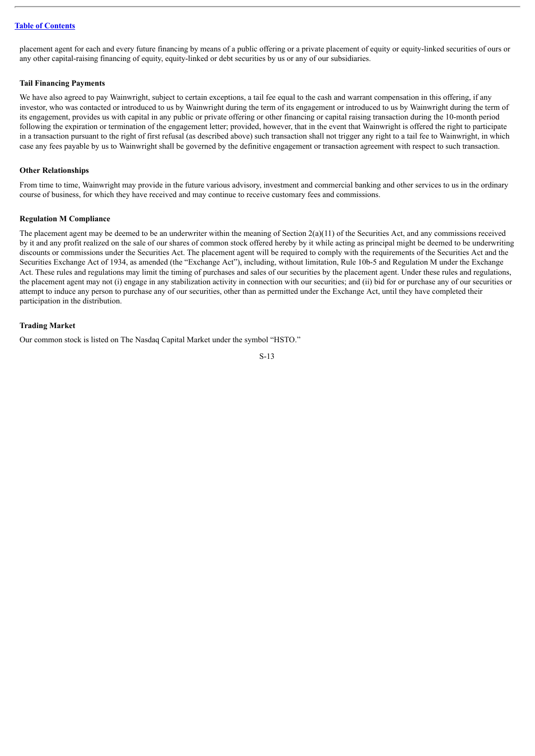placement agent for each and every future financing by means of a public offering or a private placement of equity or equity-linked securities of ours or any other capital-raising financing of equity, equity-linked or debt securities by us or any of our subsidiaries.

#### **Tail Financing Payments**

We have also agreed to pay Wainwright, subject to certain exceptions, a tail fee equal to the cash and warrant compensation in this offering, if any investor, who was contacted or introduced to us by Wainwright during the term of its engagement or introduced to us by Wainwright during the term of its engagement, provides us with capital in any public or private offering or other financing or capital raising transaction during the 10-month period following the expiration or termination of the engagement letter; provided, however, that in the event that Wainwright is offered the right to participate in a transaction pursuant to the right of first refusal (as described above) such transaction shall not trigger any right to a tail fee to Wainwright, in which case any fees payable by us to Wainwright shall be governed by the definitive engagement or transaction agreement with respect to such transaction.

#### **Other Relationships**

From time to time, Wainwright may provide in the future various advisory, investment and commercial banking and other services to us in the ordinary course of business, for which they have received and may continue to receive customary fees and commissions.

#### **Regulation M Compliance**

The placement agent may be deemed to be an underwriter within the meaning of Section  $2(a)(11)$  of the Securities Act, and any commissions received by it and any profit realized on the sale of our shares of common stock offered hereby by it while acting as principal might be deemed to be underwriting discounts or commissions under the Securities Act. The placement agent will be required to comply with the requirements of the Securities Act and the Securities Exchange Act of 1934, as amended (the "Exchange Act"), including, without limitation, Rule 10b-5 and Regulation M under the Exchange Act. These rules and regulations may limit the timing of purchases and sales of our securities by the placement agent. Under these rules and regulations, the placement agent may not (i) engage in any stabilization activity in connection with our securities; and (ii) bid for or purchase any of our securities or attempt to induce any person to purchase any of our securities, other than as permitted under the Exchange Act, until they have completed their participation in the distribution.

#### **Trading Market**

Our common stock is listed on The Nasdaq Capital Market under the symbol "HSTO."

$$
S-13
$$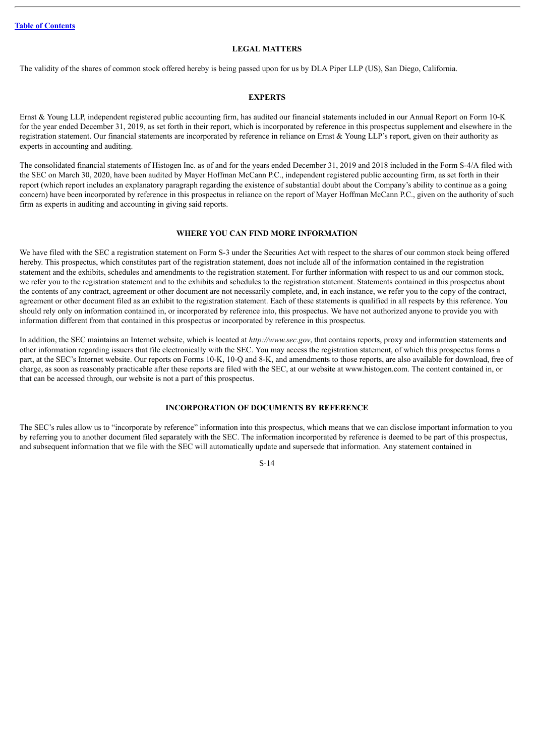#### **LEGAL MATTERS**

<span id="page-17-0"></span>The validity of the shares of common stock offered hereby is being passed upon for us by DLA Piper LLP (US), San Diego, California.

# **EXPERTS**

<span id="page-17-1"></span>Ernst & Young LLP, independent registered public accounting firm, has audited our financial statements included in our Annual Report on Form 10-K for the year ended December 31, 2019, as set forth in their report, which is incorporated by reference in this prospectus supplement and elsewhere in the registration statement. Our financial statements are incorporated by reference in reliance on Ernst & Young LLP's report, given on their authority as experts in accounting and auditing.

The consolidated financial statements of Histogen Inc. as of and for the years ended December 31, 2019 and 2018 included in the Form S-4/A filed with the SEC on March 30, 2020, have been audited by Mayer Hoffman McCann P.C., independent registered public accounting firm, as set forth in their report (which report includes an explanatory paragraph regarding the existence of substantial doubt about the Company's ability to continue as a going concern) have been incorporated by reference in this prospectus in reliance on the report of Mayer Hoffman McCann P.C., given on the authority of such firm as experts in auditing and accounting in giving said reports.

#### **WHERE YOU CAN FIND MORE INFORMATION**

<span id="page-17-2"></span>We have filed with the SEC a registration statement on Form S-3 under the Securities Act with respect to the shares of our common stock being offered hereby. This prospectus, which constitutes part of the registration statement, does not include all of the information contained in the registration statement and the exhibits, schedules and amendments to the registration statement. For further information with respect to us and our common stock, we refer you to the registration statement and to the exhibits and schedules to the registration statement. Statements contained in this prospectus about the contents of any contract, agreement or other document are not necessarily complete, and, in each instance, we refer you to the copy of the contract, agreement or other document filed as an exhibit to the registration statement. Each of these statements is qualified in all respects by this reference. You should rely only on information contained in, or incorporated by reference into, this prospectus. We have not authorized anyone to provide you with information different from that contained in this prospectus or incorporated by reference in this prospectus.

In addition, the SEC maintains an Internet website, which is located at *http://www.sec.gov*, that contains reports, proxy and information statements and other information regarding issuers that file electronically with the SEC. You may access the registration statement, of which this prospectus forms a part, at the SEC's Internet website. Our reports on Forms 10-K, 10-Q and 8-K, and amendments to those reports, are also available for download, free of charge, as soon as reasonably practicable after these reports are filed with the SEC, at our website at www.histogen.com. The content contained in, or that can be accessed through, our website is not a part of this prospectus.

# **INCORPORATION OF DOCUMENTS BY REFERENCE**

<span id="page-17-3"></span>The SEC's rules allow us to "incorporate by reference" information into this prospectus, which means that we can disclose important information to you by referring you to another document filed separately with the SEC. The information incorporated by reference is deemed to be part of this prospectus, and subsequent information that we file with the SEC will automatically update and supersede that information. Any statement contained in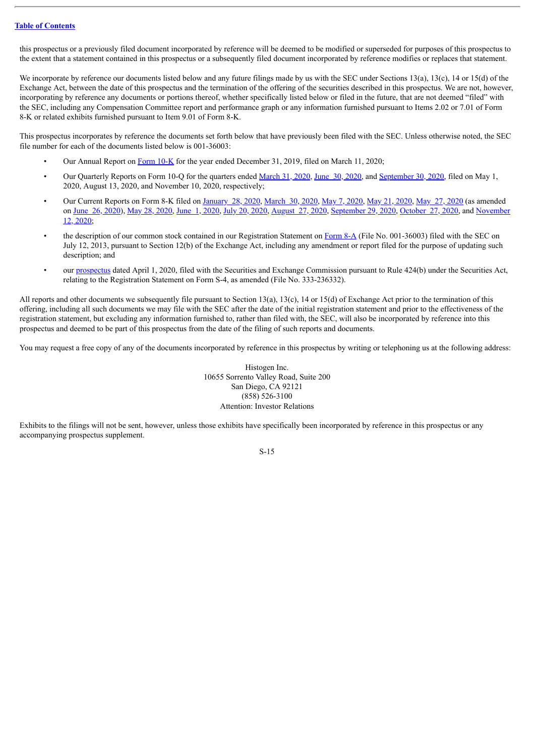this prospectus or a previously filed document incorporated by reference will be deemed to be modified or superseded for purposes of this prospectus to the extent that a statement contained in this prospectus or a subsequently filed document incorporated by reference modifies or replaces that statement.

We incorporate by reference our documents listed below and any future filings made by us with the SEC under Sections 13(a), 13(c), 14 or 15(d) of the Exchange Act, between the date of this prospectus and the termination of the offering of the securities described in this prospectus. We are not, however, incorporating by reference any documents or portions thereof, whether specifically listed below or filed in the future, that are not deemed "filed" with the SEC, including any Compensation Committee report and performance graph or any information furnished pursuant to Items 2.02 or 7.01 of Form 8-K or related exhibits furnished pursuant to Item 9.01 of Form 8-K.

This prospectus incorporates by reference the documents set forth below that have previously been filed with the SEC. Unless otherwise noted, the SEC file number for each of the documents listed below is 001-36003:

- Our Annual Report on [Form](http://www.sec.gov/Archives/edgar/data/1383701/000156459020010122/cnat-10k_20191231.htm) 10-K for the year ended December 31, 2019, filed on March 11, 2020;
- Our Quarterly Reports on Form 10-Q for the quarters ended [March](http://www.sec.gov/Archives/edgar/data/1383701/000156459020020517/cnat-10q_20200331.htm) 31, 2020, June 30, [2020](http://www.sec.gov/Archives/edgar/data/1383701/000156459020040035/hsto-10q_20200630.htm), and [September](http://www.sec.gov/Archives/edgar/data/1383701/000156459020053000/hsto-10q_20200930.htm) 30, 2020, filed on May 1, 2020, August 13, 2020, and November 10, 2020, respectively;
- Our Current Reports on Form 8-K filed on [January](http://www.sec.gov/Archives/edgar/data/1383701/000119312520016930/d875852d8k.htm) 28, 2020, [March](http://www.sec.gov/Archives/edgar/data/1383701/000156459020014191/cnat-8k_20200330.htm) 30, 2020, May 7, [2020,](http://www.sec.gov/Archives/edgar/data/1383701/000119312520136238/d842676d8k.htm) May 21, [2020,](http://www.sec.gov/Archives/edgar/data/1383701/000119312520148679/d932971d8k.htm) May 27, [2020](http://www.sec.gov/Archives/edgar/data/1383701/000119312520152366/d925005d8k.htm) (as amended on June 26, [2020](http://www.sec.gov/Archives/edgar/data/1383701/000119312520195522/d51427d8k.htm)), May 28, [2020,](http://www.sec.gov/Archives/edgar/data/1383701/000119312520156548/d830291d8k.htm) June 1, 2020, July 20, 2020, [August](http://www.sec.gov/Archives/edgar/data/1383701/000119312520233288/d17219d8k.htm) 27, 2020, [S](http://www.sec.gov/Archives/edgar/data/1383701/000119312520291106/d36524d8k.htm)[eptember](http://www.sec.gov/Archives/edgar/data/1383701/000119312520257231/d51132d8k.htm) 29, 2020, [October](http://www.sec.gov/Archives/edgar/data/1383701/000119312520277565/d92015d8k.htm) 27, 2020, and November 12, 2020;
- the description of our common stock contained in our Registration Statement on [Form](http://www.sec.gov/Archives/edgar/data/1383701/000119312513289429/d567418d8a12b.htm) 8-A (File No. 001-36003) filed with the SEC on July 12, 2013, pursuant to Section 12(b) of the Exchange Act, including any amendment or report filed for the purpose of updating such description; and
- our [prospectus](http://www.sec.gov/Archives/edgar/data/1383701/000119312520094708/d875861d424b3.htm) dated April 1, 2020, filed with the Securities and Exchange Commission pursuant to Rule 424(b) under the Securities Act, relating to the Registration Statement on Form S-4, as amended (File No. 333-236332).

All reports and other documents we subsequently file pursuant to Section 13(a), 13(c), 14 or 15(d) of Exchange Act prior to the termination of this offering, including all such documents we may file with the SEC after the date of the initial registration statement and prior to the effectiveness of the registration statement, but excluding any information furnished to, rather than filed with, the SEC, will also be incorporated by reference into this prospectus and deemed to be part of this prospectus from the date of the filing of such reports and documents.

You may request a free copy of any of the documents incorporated by reference in this prospectus by writing or telephoning us at the following address:

Histogen Inc. 10655 Sorrento Valley Road, Suite 200 San Diego, CA 92121 (858) 526-3100 Attention: Investor Relations

Exhibits to the filings will not be sent, however, unless those exhibits have specifically been incorporated by reference in this prospectus or any accompanying prospectus supplement.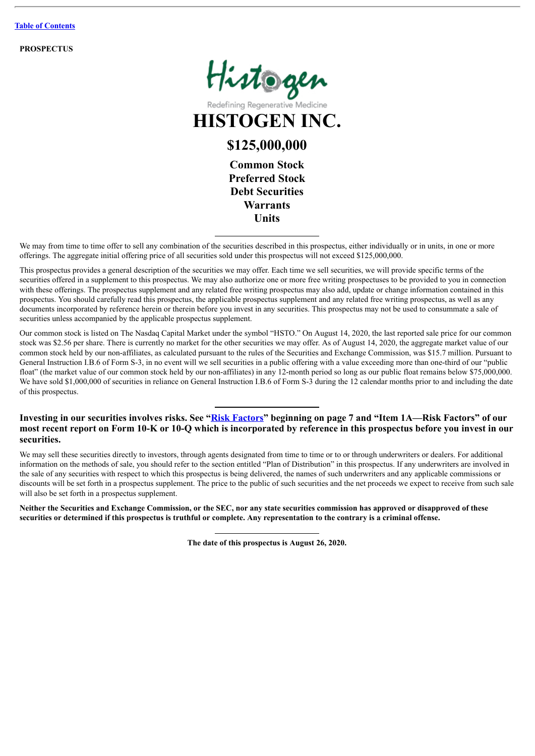**PROSPECTUS**



Redefining Regenerative

**HISTOGEN INC.**

# **\$125,000,000**

**Common Stock Preferred Stock Debt Securities Warrants Units**

We may from time to time offer to sell any combination of the securities described in this prospectus, either individually or in units, in one or more offerings. The aggregate initial offering price of all securities sold under this prospectus will not exceed \$125,000,000.

This prospectus provides a general description of the securities we may offer. Each time we sell securities, we will provide specific terms of the securities offered in a supplement to this prospectus. We may also authorize one or more free writing prospectuses to be provided to you in connection with these offerings. The prospectus supplement and any related free writing prospectus may also add, update or change information contained in this prospectus. You should carefully read this prospectus, the applicable prospectus supplement and any related free writing prospectus, as well as any documents incorporated by reference herein or therein before you invest in any securities. This prospectus may not be used to consummate a sale of securities unless accompanied by the applicable prospectus supplement.

Our common stock is listed on The Nasdaq Capital Market under the symbol "HSTO." On August 14, 2020, the last reported sale price for our common stock was \$2.56 per share. There is currently no market for the other securities we may offer. As of August 14, 2020, the aggregate market value of our common stock held by our non-affiliates, as calculated pursuant to the rules of the Securities and Exchange Commission, was \$15.7 million. Pursuant to General Instruction I.B.6 of Form S-3, in no event will we sell securities in a public offering with a value exceeding more than one-third of our "public float" (the market value of our common stock held by our non-affiliates) in any 12-month period so long as our public float remains below \$75,000,000. We have sold \$1,000,000 of securities in reliance on General Instruction I.B.6 of Form S-3 during the 12 calendar months prior to and including the date of this prospectus.

# **Investing in our securities involves risks. See "[Risk Factors](#page-28-0)" beginning on page 7 and "Item 1A—Risk Factors" of our most recent report on Form 10-K or 10-Q which is incorporated by reference in this prospectus before you invest in our securities.**

We may sell these securities directly to investors, through agents designated from time to time or to or through underwriters or dealers. For additional information on the methods of sale, you should refer to the section entitled "Plan of Distribution" in this prospectus. If any underwriters are involved in the sale of any securities with respect to which this prospectus is being delivered, the names of such underwriters and any applicable commissions or discounts will be set forth in a prospectus supplement. The price to the public of such securities and the net proceeds we expect to receive from such sale will also be set forth in a prospectus supplement.

Neither the Securities and Exchange Commission, or the SEC, nor any state securities commission has approved or disapproved of these securities or determined if this prospectus is truthful or complete. Any representation to the contrary is a criminal offense.

**The date of this prospectus is August 26, 2020.**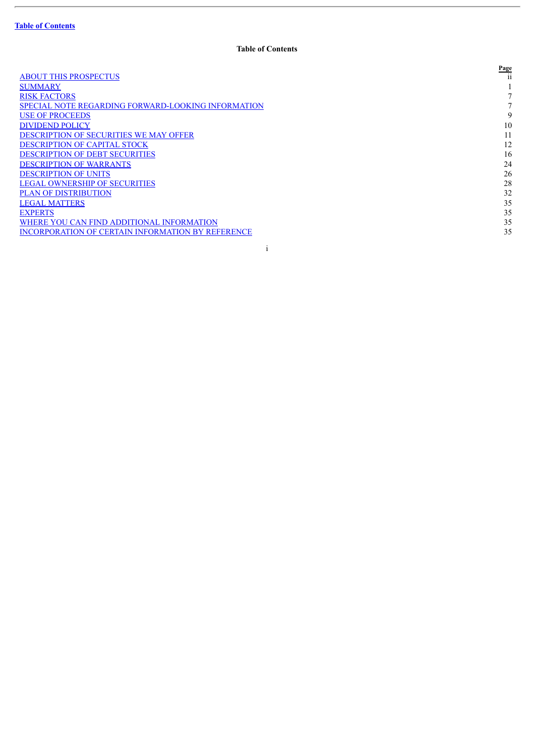|                                                          | Page |
|----------------------------------------------------------|------|
| <b>ABOUT THIS PROSPECTUS</b>                             | 11   |
| <b>SUMMARY</b>                                           |      |
| <b>RISK FACTORS</b>                                      |      |
| SPECIAL NOTE REGARDING FORWARD-LOOKING INFORMATION       |      |
| <b>USE OF PROCEEDS</b>                                   | 9    |
| <b>DIVIDEND POLICY</b>                                   | 10   |
| <b>DESCRIPTION OF SECURITIES WE MAY OFFER</b>            |      |
| <b>DESCRIPTION OF CAPITAL STOCK</b>                      | 12   |
| <b>DESCRIPTION OF DEBT SECURITIES</b>                    | 16   |
| <b>DESCRIPTION OF WARRANTS</b>                           | 24   |
| <b>DESCRIPTION OF UNITS</b>                              | 26   |
| <b>LEGAL OWNERSHIP OF SECURITIES</b>                     | 28   |
| <b>PLAN OF DISTRIBUTION</b>                              | 32   |
| <b>LEGAL MATTERS</b>                                     | 35   |
| <b>EXPERTS</b>                                           | 35   |
| WHERE YOU CAN FIND ADDITIONAL INFORMATION                | 35   |
| <b>INCORPORATION OF CERTAIN INFORMATION BY REFERENCE</b> | 35   |
|                                                          |      |

i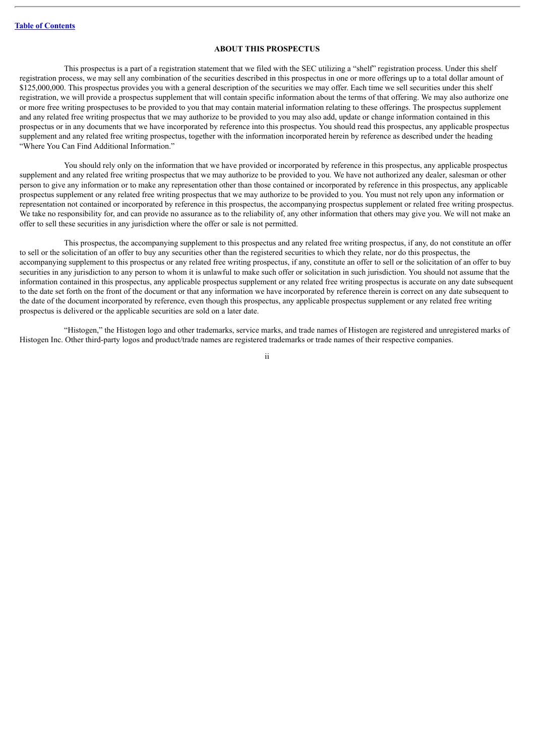#### **ABOUT THIS PROSPECTUS**

<span id="page-21-0"></span>This prospectus is a part of a registration statement that we filed with the SEC utilizing a "shelf" registration process. Under this shelf registration process, we may sell any combination of the securities described in this prospectus in one or more offerings up to a total dollar amount of \$125,000,000. This prospectus provides you with a general description of the securities we may offer. Each time we sell securities under this shelf registration, we will provide a prospectus supplement that will contain specific information about the terms of that offering. We may also authorize one or more free writing prospectuses to be provided to you that may contain material information relating to these offerings. The prospectus supplement and any related free writing prospectus that we may authorize to be provided to you may also add, update or change information contained in this prospectus or in any documents that we have incorporated by reference into this prospectus. You should read this prospectus, any applicable prospectus supplement and any related free writing prospectus, together with the information incorporated herein by reference as described under the heading "Where You Can Find Additional Information."

You should rely only on the information that we have provided or incorporated by reference in this prospectus, any applicable prospectus supplement and any related free writing prospectus that we may authorize to be provided to you. We have not authorized any dealer, salesman or other person to give any information or to make any representation other than those contained or incorporated by reference in this prospectus, any applicable prospectus supplement or any related free writing prospectus that we may authorize to be provided to you. You must not rely upon any information or representation not contained or incorporated by reference in this prospectus, the accompanying prospectus supplement or related free writing prospectus. We take no responsibility for, and can provide no assurance as to the reliability of, any other information that others may give you. We will not make an offer to sell these securities in any jurisdiction where the offer or sale is not permitted.

This prospectus, the accompanying supplement to this prospectus and any related free writing prospectus, if any, do not constitute an offer to sell or the solicitation of an offer to buy any securities other than the registered securities to which they relate, nor do this prospectus, the accompanying supplement to this prospectus or any related free writing prospectus, if any, constitute an offer to sell or the solicitation of an offer to buy securities in any jurisdiction to any person to whom it is unlawful to make such offer or solicitation in such jurisdiction. You should not assume that the information contained in this prospectus, any applicable prospectus supplement or any related free writing prospectus is accurate on any date subsequent to the date set forth on the front of the document or that any information we have incorporated by reference therein is correct on any date subsequent to the date of the document incorporated by reference, even though this prospectus, any applicable prospectus supplement or any related free writing prospectus is delivered or the applicable securities are sold on a later date.

"Histogen," the Histogen logo and other trademarks, service marks, and trade names of Histogen are registered and unregistered marks of Histogen Inc. Other third-party logos and product/trade names are registered trademarks or trade names of their respective companies.

ii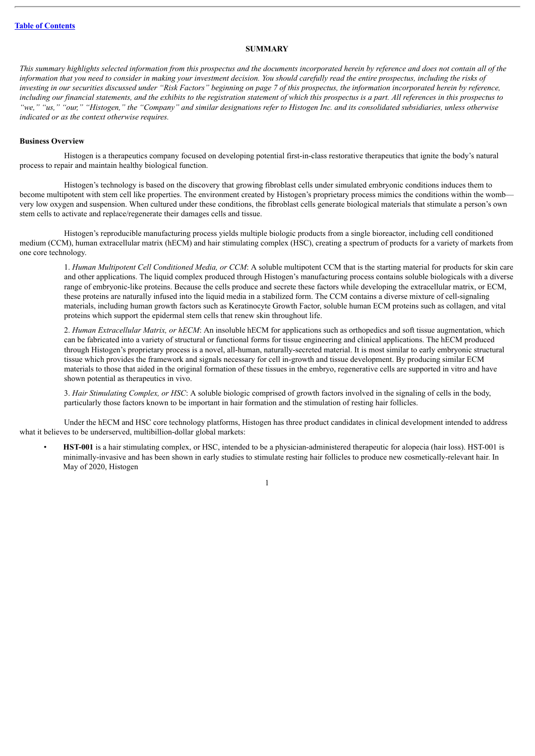#### **SUMMARY**

<span id="page-22-0"></span>This summary highlights selected information from this prospectus and the documents incorporated herein by reference and does not contain all of the information that you need to consider in making your investment decision. You should carefully read the entire prospectus, including the risks of investing in our securities discussed under "Risk Factors" beginning on page 7 of this prospectus, the information incorporated herein by reference, including our financial statements, and the exhibits to the registration statement of which this prospectus is a part. All references in this prospectus to "we," "us," "our," "Histogen," the "Company" and similar designations refer to Histogen Inc. and its consolidated subsidiaries, unless otherwise *indicated or as the context otherwise requires.*

#### **Business Overview**

Histogen is a therapeutics company focused on developing potential first-in-class restorative therapeutics that ignite the body's natural process to repair and maintain healthy biological function.

Histogen's technology is based on the discovery that growing fibroblast cells under simulated embryonic conditions induces them to become multipotent with stem cell like properties. The environment created by Histogen's proprietary process mimics the conditions within the womb very low oxygen and suspension. When cultured under these conditions, the fibroblast cells generate biological materials that stimulate a person's own stem cells to activate and replace/regenerate their damages cells and tissue.

Histogen's reproducible manufacturing process yields multiple biologic products from a single bioreactor, including cell conditioned medium (CCM), human extracellular matrix (hECM) and hair stimulating complex (HSC), creating a spectrum of products for a variety of markets from one core technology.

1. *Human Multipotent Cell Conditioned Media, or CCM*: A soluble multipotent CCM that is the starting material for products for skin care and other applications. The liquid complex produced through Histogen's manufacturing process contains soluble biologicals with a diverse range of embryonic-like proteins. Because the cells produce and secrete these factors while developing the extracellular matrix, or ECM, these proteins are naturally infused into the liquid media in a stabilized form. The CCM contains a diverse mixture of cell-signaling materials, including human growth factors such as Keratinocyte Growth Factor, soluble human ECM proteins such as collagen, and vital proteins which support the epidermal stem cells that renew skin throughout life.

2. *Human Extracellular Matrix, or hECM*: An insoluble hECM for applications such as orthopedics and soft tissue augmentation, which can be fabricated into a variety of structural or functional forms for tissue engineering and clinical applications. The hECM produced through Histogen's proprietary process is a novel, all-human, naturally-secreted material. It is most similar to early embryonic structural tissue which provides the framework and signals necessary for cell in-growth and tissue development. By producing similar ECM materials to those that aided in the original formation of these tissues in the embryo, regenerative cells are supported in vitro and have shown potential as therapeutics in vivo.

3. *Hair Stimulating Complex, or HSC*: A soluble biologic comprised of growth factors involved in the signaling of cells in the body, particularly those factors known to be important in hair formation and the stimulation of resting hair follicles.

Under the hECM and HSC core technology platforms, Histogen has three product candidates in clinical development intended to address what it believes to be underserved, multibillion-dollar global markets:

• **HST-001** is a hair stimulating complex, or HSC, intended to be a physician-administered therapeutic for alopecia (hair loss). HST-001 is minimally-invasive and has been shown in early studies to stimulate resting hair follicles to produce new cosmetically-relevant hair. In May of 2020, Histogen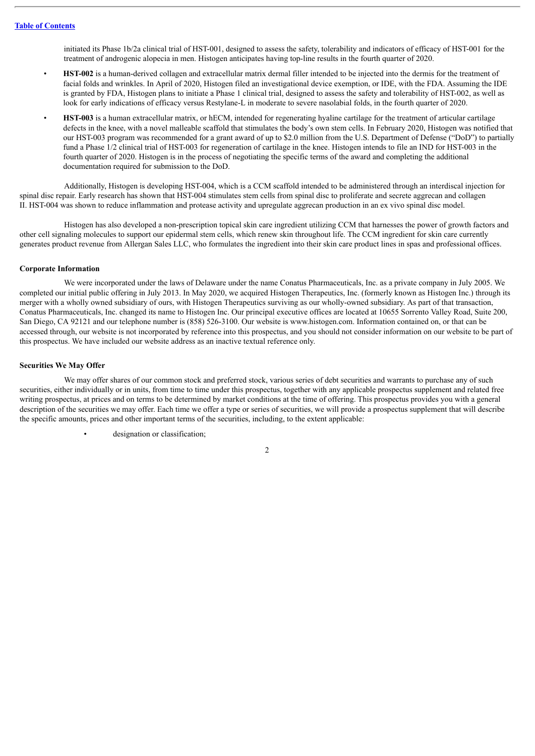initiated its Phase 1b/2a clinical trial of HST-001, designed to assess the safety, tolerability and indicators of efficacy of HST-001 for the treatment of androgenic alopecia in men. Histogen anticipates having top-line results in the fourth quarter of 2020.

- **HST-002** is a human-derived collagen and extracellular matrix dermal filler intended to be injected into the dermis for the treatment of facial folds and wrinkles. In April of 2020, Histogen filed an investigational device exemption, or IDE, with the FDA. Assuming the IDE is granted by FDA, Histogen plans to initiate a Phase 1 clinical trial, designed to assess the safety and tolerability of HST-002, as well as look for early indications of efficacy versus Restylane-L in moderate to severe nasolabial folds, in the fourth quarter of 2020.
- **HST-003** is a human extracellular matrix, or hECM, intended for regenerating hyaline cartilage for the treatment of articular cartilage defects in the knee, with a novel malleable scaffold that stimulates the body's own stem cells. In February 2020, Histogen was notified that our HST-003 program was recommended for a grant award of up to \$2.0 million from the U.S. Department of Defense ("DoD") to partially fund a Phase 1/2 clinical trial of HST-003 for regeneration of cartilage in the knee. Histogen intends to file an IND for HST-003 in the fourth quarter of 2020. Histogen is in the process of negotiating the specific terms of the award and completing the additional documentation required for submission to the DoD.

Additionally, Histogen is developing HST-004, which is a CCM scaffold intended to be administered through an interdiscal injection for spinal disc repair. Early research has shown that HST-004 stimulates stem cells from spinal disc to proliferate and secrete aggrecan and collagen II. HST-004 was shown to reduce inflammation and protease activity and upregulate aggrecan production in an ex vivo spinal disc model.

Histogen has also developed a non-prescription topical skin care ingredient utilizing CCM that harnesses the power of growth factors and other cell signaling molecules to support our epidermal stem cells, which renew skin throughout life. The CCM ingredient for skin care currently generates product revenue from Allergan Sales LLC, who formulates the ingredient into their skin care product lines in spas and professional offices.

#### **Corporate Information**

We were incorporated under the laws of Delaware under the name Conatus Pharmaceuticals, Inc. as a private company in July 2005. We completed our initial public offering in July 2013. In May 2020, we acquired Histogen Therapeutics, Inc. (formerly known as Histogen Inc.) through its merger with a wholly owned subsidiary of ours, with Histogen Therapeutics surviving as our wholly-owned subsidiary. As part of that transaction, Conatus Pharmaceuticals, Inc. changed its name to Histogen Inc. Our principal executive offices are located at 10655 Sorrento Valley Road, Suite 200, San Diego, CA 92121 and our telephone number is (858) 526-3100. Our website is www.histogen.com. Information contained on, or that can be accessed through, our website is not incorporated by reference into this prospectus, and you should not consider information on our website to be part of this prospectus. We have included our website address as an inactive textual reference only.

#### **Securities We May Offer**

We may offer shares of our common stock and preferred stock, various series of debt securities and warrants to purchase any of such securities, either individually or in units, from time to time under this prospectus, together with any applicable prospectus supplement and related free writing prospectus, at prices and on terms to be determined by market conditions at the time of offering. This prospectus provides you with a general description of the securities we may offer. Each time we offer a type or series of securities, we will provide a prospectus supplement that will describe the specific amounts, prices and other important terms of the securities, including, to the extent applicable:

designation or classification;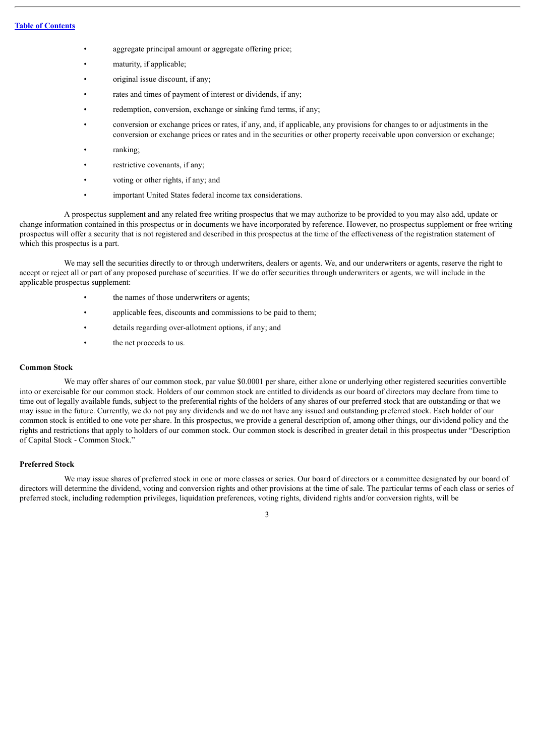- aggregate principal amount or aggregate offering price;
- maturity, if applicable;
- original issue discount, if any;
- rates and times of payment of interest or dividends, if any;
- redemption, conversion, exchange or sinking fund terms, if any;
- conversion or exchange prices or rates, if any, and, if applicable, any provisions for changes to or adjustments in the conversion or exchange prices or rates and in the securities or other property receivable upon conversion or exchange;
- ranking:
- restrictive covenants, if any;
- voting or other rights, if any; and
- important United States federal income tax considerations.

A prospectus supplement and any related free writing prospectus that we may authorize to be provided to you may also add, update or change information contained in this prospectus or in documents we have incorporated by reference. However, no prospectus supplement or free writing prospectus will offer a security that is not registered and described in this prospectus at the time of the effectiveness of the registration statement of which this prospectus is a part.

We may sell the securities directly to or through underwriters, dealers or agents. We, and our underwriters or agents, reserve the right to accept or reject all or part of any proposed purchase of securities. If we do offer securities through underwriters or agents, we will include in the applicable prospectus supplement:

- the names of those underwriters or agents;
- applicable fees, discounts and commissions to be paid to them;
- details regarding over-allotment options, if any; and
- the net proceeds to us.

#### **Common Stock**

We may offer shares of our common stock, par value \$0.0001 per share, either alone or underlying other registered securities convertible into or exercisable for our common stock. Holders of our common stock are entitled to dividends as our board of directors may declare from time to time out of legally available funds, subject to the preferential rights of the holders of any shares of our preferred stock that are outstanding or that we may issue in the future. Currently, we do not pay any dividends and we do not have any issued and outstanding preferred stock. Each holder of our common stock is entitled to one vote per share. In this prospectus, we provide a general description of, among other things, our dividend policy and the rights and restrictions that apply to holders of our common stock. Our common stock is described in greater detail in this prospectus under "Description of Capital Stock - Common Stock."

#### **Preferred Stock**

We may issue shares of preferred stock in one or more classes or series. Our board of directors or a committee designated by our board of directors will determine the dividend, voting and conversion rights and other provisions at the time of sale. The particular terms of each class or series of preferred stock, including redemption privileges, liquidation preferences, voting rights, dividend rights and/or conversion rights, will be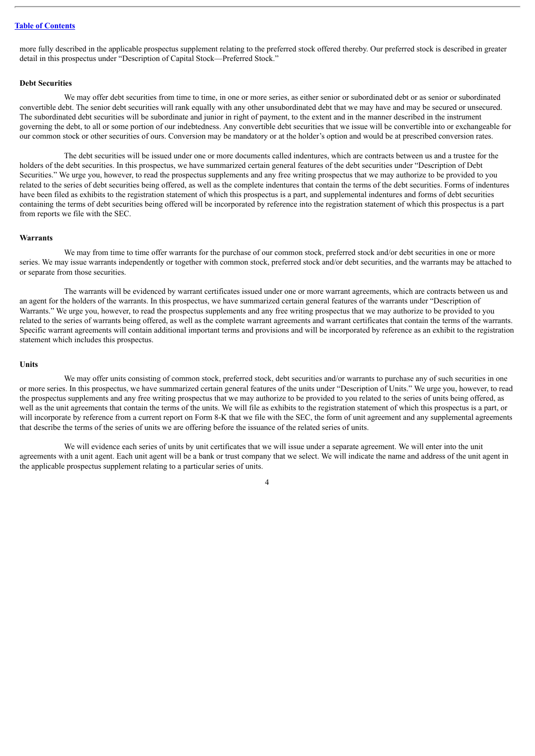more fully described in the applicable prospectus supplement relating to the preferred stock offered thereby. Our preferred stock is described in greater detail in this prospectus under "Description of Capital Stock—Preferred Stock."

#### **Debt Securities**

We may offer debt securities from time to time, in one or more series, as either senior or subordinated debt or as senior or subordinated convertible debt. The senior debt securities will rank equally with any other unsubordinated debt that we may have and may be secured or unsecured. The subordinated debt securities will be subordinate and junior in right of payment, to the extent and in the manner described in the instrument governing the debt, to all or some portion of our indebtedness. Any convertible debt securities that we issue will be convertible into or exchangeable for our common stock or other securities of ours. Conversion may be mandatory or at the holder's option and would be at prescribed conversion rates.

The debt securities will be issued under one or more documents called indentures, which are contracts between us and a trustee for the holders of the debt securities. In this prospectus, we have summarized certain general features of the debt securities under "Description of Debt Securities." We urge you, however, to read the prospectus supplements and any free writing prospectus that we may authorize to be provided to you related to the series of debt securities being offered, as well as the complete indentures that contain the terms of the debt securities. Forms of indentures have been filed as exhibits to the registration statement of which this prospectus is a part, and supplemental indentures and forms of debt securities containing the terms of debt securities being offered will be incorporated by reference into the registration statement of which this prospectus is a part from reports we file with the SEC.

#### **Warrants**

We may from time to time offer warrants for the purchase of our common stock, preferred stock and/or debt securities in one or more series. We may issue warrants independently or together with common stock, preferred stock and/or debt securities, and the warrants may be attached to or separate from those securities.

The warrants will be evidenced by warrant certificates issued under one or more warrant agreements, which are contracts between us and an agent for the holders of the warrants. In this prospectus, we have summarized certain general features of the warrants under "Description of Warrants." We urge you, however, to read the prospectus supplements and any free writing prospectus that we may authorize to be provided to you related to the series of warrants being offered, as well as the complete warrant agreements and warrant certificates that contain the terms of the warrants. Specific warrant agreements will contain additional important terms and provisions and will be incorporated by reference as an exhibit to the registration statement which includes this prospectus.

#### **Units**

We may offer units consisting of common stock, preferred stock, debt securities and/or warrants to purchase any of such securities in one or more series. In this prospectus, we have summarized certain general features of the units under "Description of Units." We urge you, however, to read the prospectus supplements and any free writing prospectus that we may authorize to be provided to you related to the series of units being offered, as well as the unit agreements that contain the terms of the units. We will file as exhibits to the registration statement of which this prospectus is a part, or will incorporate by reference from a current report on Form 8-K that we file with the SEC, the form of unit agreement and any supplemental agreements that describe the terms of the series of units we are offering before the issuance of the related series of units.

We will evidence each series of units by unit certificates that we will issue under a separate agreement. We will enter into the unit agreements with a unit agent. Each unit agent will be a bank or trust company that we select. We will indicate the name and address of the unit agent in the applicable prospectus supplement relating to a particular series of units.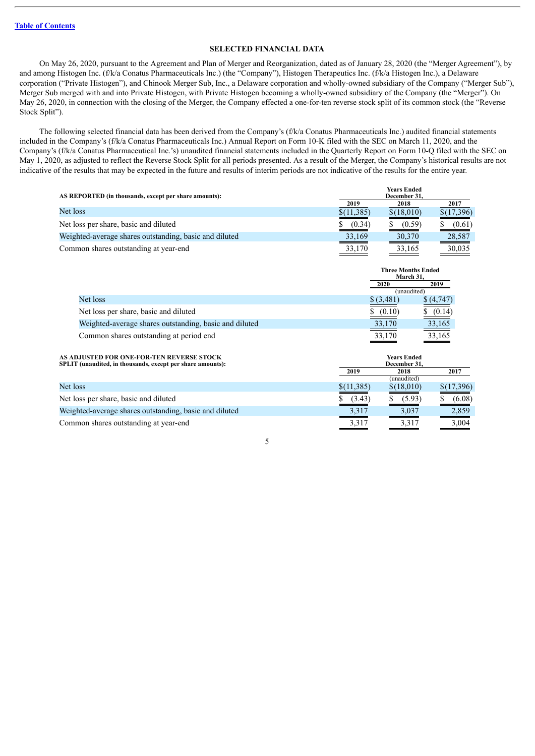#### **SELECTED FINANCIAL DATA**

On May 26, 2020, pursuant to the Agreement and Plan of Merger and Reorganization, dated as of January 28, 2020 (the "Merger Agreement"), by and among Histogen Inc. (f/k/a Conatus Pharmaceuticals Inc.) (the "Company"), Histogen Therapeutics Inc. (f/k/a Histogen Inc.), a Delaware corporation ("Private Histogen"), and Chinook Merger Sub, Inc., a Delaware corporation and wholly-owned subsidiary of the Company ("Merger Sub"), Merger Sub merged with and into Private Histogen, with Private Histogen becoming a wholly-owned subsidiary of the Company (the "Merger"). On May 26, 2020, in connection with the closing of the Merger, the Company effected a one-for-ten reverse stock split of its common stock (the "Reverse Stock Split").

The following selected financial data has been derived from the Company's (f/k/a Conatus Pharmaceuticals Inc.) audited financial statements included in the Company's (f/k/a Conatus Pharmaceuticals Inc.) Annual Report on Form 10-K filed with the SEC on March 11, 2020, and the Company's (f/k/a Conatus Pharmaceutical Inc.'s) unaudited financial statements included in the Quarterly Report on Form 10-Q filed with the SEC on May 1, 2020, as adjusted to reflect the Reverse Stock Split for all periods presented. As a result of the Merger, the Company's historical results are not indicative of the results that may be expected in the future and results of interim periods are not indicative of the results for the entire year.

| AS REPORTED (in thousands, except per share amounts):  |             | <b>Years Ended</b><br>December 31. |            |  |
|--------------------------------------------------------|-------------|------------------------------------|------------|--|
|                                                        | 2019        | 2018                               | 2017       |  |
| Net loss                                               | \$(11, 385) | \$(18,010)                         | \$(17,396) |  |
| Net loss per share, basic and diluted                  | (0.34)      | (0.59)                             | (0.61)     |  |
| Weighted-average shares outstanding, basic and diluted | 33,169      | 30,370                             | 28,587     |  |
| Common shares outstanding at year-end                  | 33,170      | 33,165                             | 30,035     |  |

|                                                        |            | <b>Three Months Ended</b><br>March 31, |  |
|--------------------------------------------------------|------------|----------------------------------------|--|
|                                                        | 2020       | 2019                                   |  |
|                                                        |            | (unaudited)                            |  |
| Net loss                                               | \$ (3,481) | \$ (4.747)                             |  |
| Net loss per share, basic and diluted                  | \$ (0.10)  | (0.14)                                 |  |
| Weighted-average shares outstanding, basic and diluted | 33,170     | 33,165                                 |  |
| Common shares outstanding at period end                | 33,170     | 33,165                                 |  |

| AS ADJUSTED FOR ONE-FOR-TEN REVERSE STOCK<br>SPLIT (unaudited, in thousands, except per share amounts): | <b>Years Ended</b><br>December 31, |             |            |
|---------------------------------------------------------------------------------------------------------|------------------------------------|-------------|------------|
|                                                                                                         | 2019                               | 2018        | 2017       |
|                                                                                                         |                                    | (unaudited) |            |
| Net loss                                                                                                | \$(11,385)                         | \$(18,010)  | \$(17,396) |
| Net loss per share, basic and diluted                                                                   | (3.43)                             | (5.93)      | (6.08)     |
| Weighted-average shares outstanding, basic and diluted                                                  | 3,317                              | 3.037       | 2,859      |
| Common shares outstanding at year-end                                                                   | 3,317                              | 3,317       | 3,004      |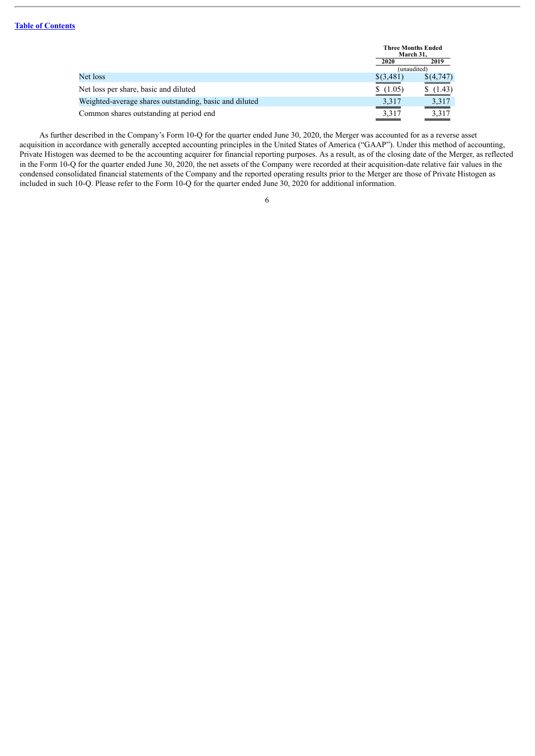|                                                        |             | <b>Three Months Ended</b><br>March 31. |  |
|--------------------------------------------------------|-------------|----------------------------------------|--|
|                                                        | 2020        | 2019                                   |  |
|                                                        | (unaudited) |                                        |  |
| Net loss                                               | \$(3,481)   | \$(4,747)                              |  |
| Net loss per share, basic and diluted                  | \$(1.05)    | (1.43)                                 |  |
| Weighted-average shares outstanding, basic and diluted | 3,317       | 3,317                                  |  |
| Common shares outstanding at period end                | 3,317       | 3,317                                  |  |

As further described in the Company's Form 10-Q for the quarter ended June 30, 2020, the Merger was accounted for as a reverse asset acquisition in accordance with generally accepted accounting principles in the United States of America ("GAAP"). Under this method of accounting, Private Histogen was deemed to be the accounting acquirer for financial reporting purposes. As a result, as of the closing date of the Merger, as reflected in the Form 10-Q for the quarter ended June 30, 2020, the net assets of the Company were recorded at their acquisition-date relative fair values in the condensed consolidated financial statements of the Company and the reported operating results prior to the Merger are those of Private Histogen as included in such 10-Q. Please refer to the Form 10-Q for the quarter ended June 30, 2020 for additional information.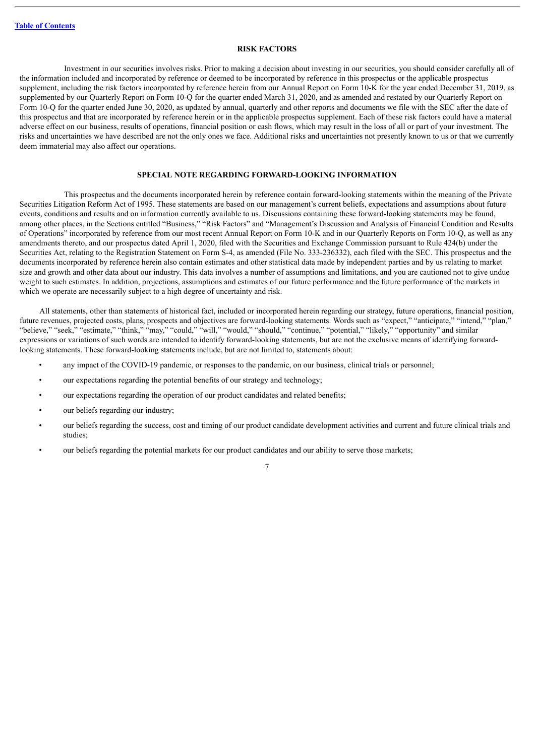#### **RISK FACTORS**

<span id="page-28-0"></span>Investment in our securities involves risks. Prior to making a decision about investing in our securities, you should consider carefully all of the information included and incorporated by reference or deemed to be incorporated by reference in this prospectus or the applicable prospectus supplement, including the risk factors incorporated by reference herein from our Annual Report on Form 10-K for the year ended December 31, 2019, as supplemented by our Quarterly Report on Form 10-Q for the quarter ended March 31, 2020, and as amended and restated by our Quarterly Report on Form 10-Q for the quarter ended June 30, 2020, as updated by annual, quarterly and other reports and documents we file with the SEC after the date of this prospectus and that are incorporated by reference herein or in the applicable prospectus supplement. Each of these risk factors could have a material adverse effect on our business, results of operations, financial position or cash flows, which may result in the loss of all or part of your investment. The risks and uncertainties we have described are not the only ones we face. Additional risks and uncertainties not presently known to us or that we currently deem immaterial may also affect our operations.

#### **SPECIAL NOTE REGARDING FORWARD-LOOKING INFORMATION**

<span id="page-28-1"></span>This prospectus and the documents incorporated herein by reference contain forward-looking statements within the meaning of the Private Securities Litigation Reform Act of 1995. These statements are based on our management's current beliefs, expectations and assumptions about future events, conditions and results and on information currently available to us. Discussions containing these forward-looking statements may be found, among other places, in the Sections entitled "Business," "Risk Factors" and "Management's Discussion and Analysis of Financial Condition and Results of Operations" incorporated by reference from our most recent Annual Report on Form 10-K and in our Quarterly Reports on Form 10-Q, as well as any amendments thereto, and our prospectus dated April 1, 2020, filed with the Securities and Exchange Commission pursuant to Rule 424(b) under the Securities Act, relating to the Registration Statement on Form S-4, as amended (File No. 333-236332), each filed with the SEC. This prospectus and the documents incorporated by reference herein also contain estimates and other statistical data made by independent parties and by us relating to market size and growth and other data about our industry. This data involves a number of assumptions and limitations, and you are cautioned not to give undue weight to such estimates. In addition, projections, assumptions and estimates of our future performance and the future performance of the markets in which we operate are necessarily subject to a high degree of uncertainty and risk.

All statements, other than statements of historical fact, included or incorporated herein regarding our strategy, future operations, financial position, future revenues, projected costs, plans, prospects and objectives are forward-looking statements. Words such as "expect," "anticipate," "intend," "plan," "believe," "seek," "estimate," "think," "may," "could," "will," "would," "should," "continue," "potential," "likely," "opportunity" and similar expressions or variations of such words are intended to identify forward-looking statements, but are not the exclusive means of identifying forwardlooking statements. These forward-looking statements include, but are not limited to, statements about:

- any impact of the COVID-19 pandemic, or responses to the pandemic, on our business, clinical trials or personnel;
- our expectations regarding the potential benefits of our strategy and technology;
- our expectations regarding the operation of our product candidates and related benefits;
- our beliefs regarding our industry:
- our beliefs regarding the success, cost and timing of our product candidate development activities and current and future clinical trials and studies;
- our beliefs regarding the potential markets for our product candidates and our ability to serve those markets;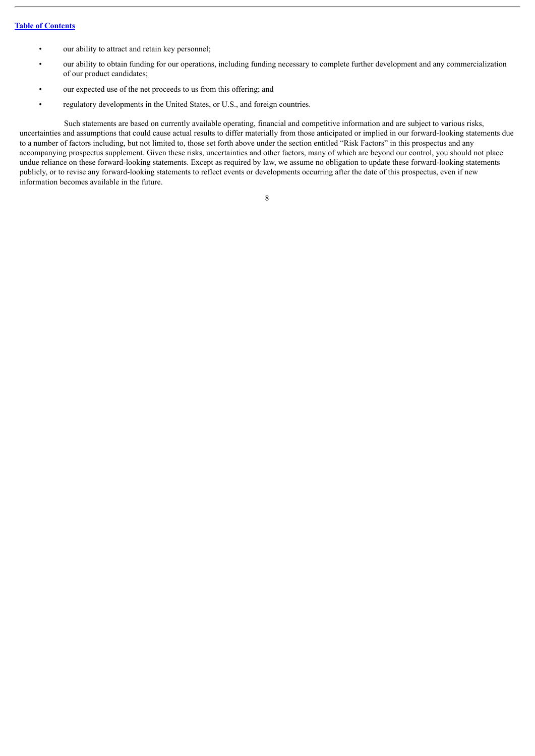- our ability to attract and retain key personnel;
- our ability to obtain funding for our operations, including funding necessary to complete further development and any commercialization of our product candidates;
- our expected use of the net proceeds to us from this offering; and
- regulatory developments in the United States, or U.S., and foreign countries.

Such statements are based on currently available operating, financial and competitive information and are subject to various risks, uncertainties and assumptions that could cause actual results to differ materially from those anticipated or implied in our forward-looking statements due to a number of factors including, but not limited to, those set forth above under the section entitled "Risk Factors" in this prospectus and any accompanying prospectus supplement. Given these risks, uncertainties and other factors, many of which are beyond our control, you should not place undue reliance on these forward-looking statements. Except as required by law, we assume no obligation to update these forward-looking statements publicly, or to revise any forward-looking statements to reflect events or developments occurring after the date of this prospectus, even if new information becomes available in the future.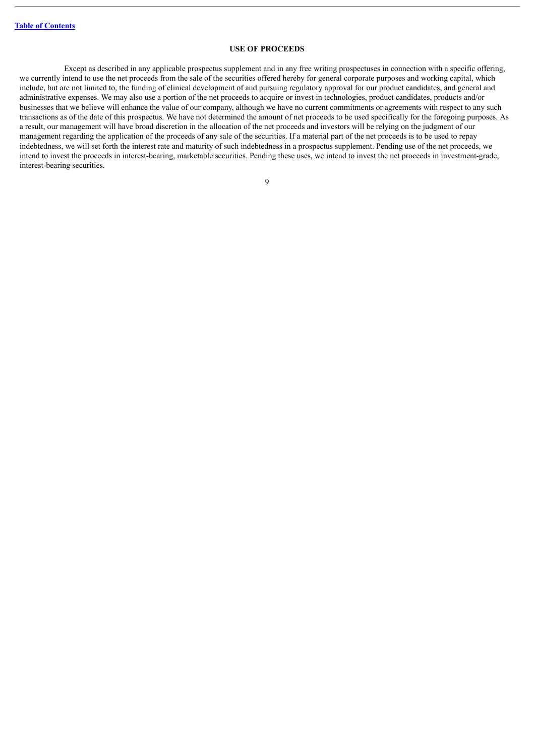#### **USE OF PROCEEDS**

<span id="page-30-0"></span>Except as described in any applicable prospectus supplement and in any free writing prospectuses in connection with a specific offering, we currently intend to use the net proceeds from the sale of the securities offered hereby for general corporate purposes and working capital, which include, but are not limited to, the funding of clinical development of and pursuing regulatory approval for our product candidates, and general and administrative expenses. We may also use a portion of the net proceeds to acquire or invest in technologies, product candidates, products and/or businesses that we believe will enhance the value of our company, although we have no current commitments or agreements with respect to any such transactions as of the date of this prospectus. We have not determined the amount of net proceeds to be used specifically for the foregoing purposes. As a result, our management will have broad discretion in the allocation of the net proceeds and investors will be relying on the judgment of our management regarding the application of the proceeds of any sale of the securities. If a material part of the net proceeds is to be used to repay indebtedness, we will set forth the interest rate and maturity of such indebtedness in a prospectus supplement. Pending use of the net proceeds, we intend to invest the proceeds in interest-bearing, marketable securities. Pending these uses, we intend to invest the net proceeds in investment-grade, interest-bearing securities.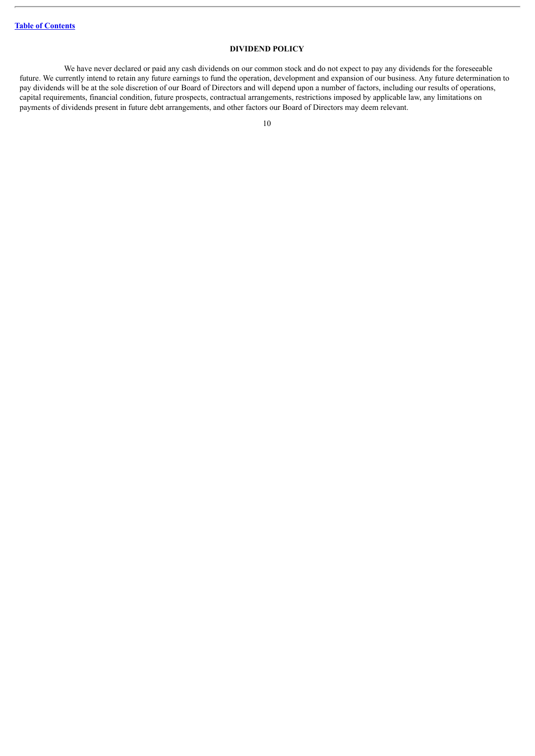# **DIVIDEND POLICY**

<span id="page-31-0"></span>We have never declared or paid any cash dividends on our common stock and do not expect to pay any dividends for the foreseeable future. We currently intend to retain any future earnings to fund the operation, development and expansion of our business. Any future determination to pay dividends will be at the sole discretion of our Board of Directors and will depend upon a number of factors, including our results of operations, capital requirements, financial condition, future prospects, contractual arrangements, restrictions imposed by applicable law, any limitations on payments of dividends present in future debt arrangements, and other factors our Board of Directors may deem relevant.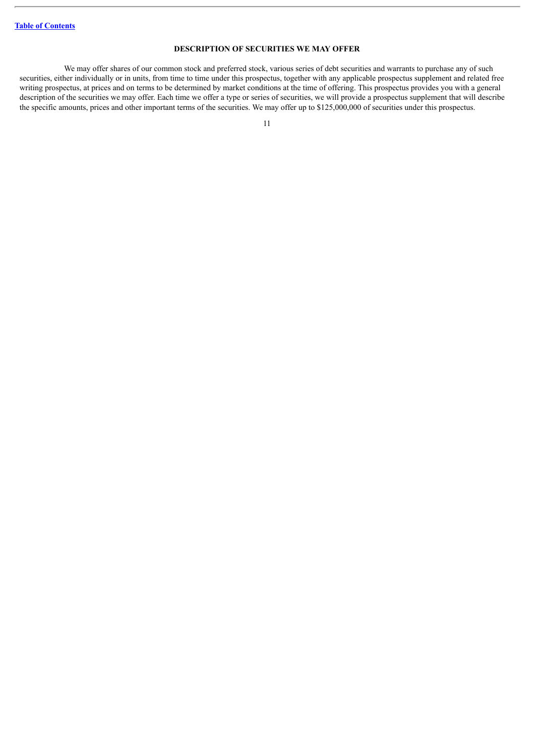# **DESCRIPTION OF SECURITIES WE MAY OFFER**

<span id="page-32-0"></span>We may offer shares of our common stock and preferred stock, various series of debt securities and warrants to purchase any of such securities, either individually or in units, from time to time under this prospectus, together with any applicable prospectus supplement and related free writing prospectus, at prices and on terms to be determined by market conditions at the time of offering. This prospectus provides you with a general description of the securities we may offer. Each time we offer a type or series of securities, we will provide a prospectus supplement that will describe the specific amounts, prices and other important terms of the securities. We may offer up to \$125,000,000 of securities under this prospectus.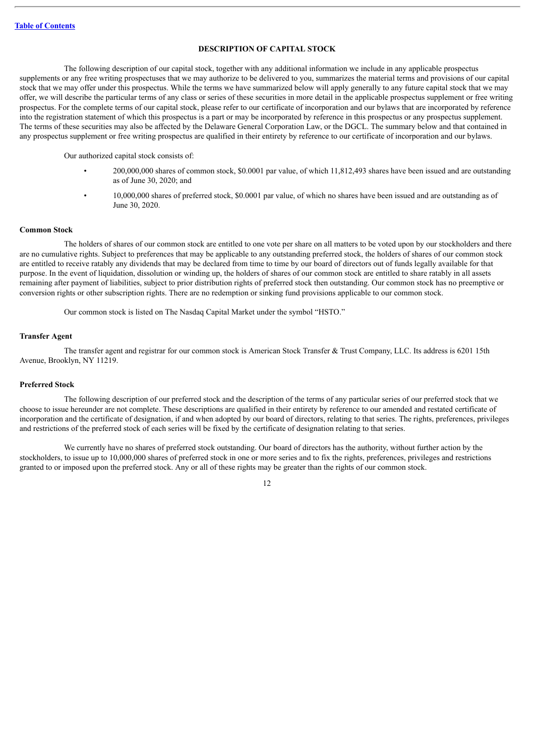## **DESCRIPTION OF CAPITAL STOCK**

<span id="page-33-0"></span>The following description of our capital stock, together with any additional information we include in any applicable prospectus supplements or any free writing prospectuses that we may authorize to be delivered to you, summarizes the material terms and provisions of our capital stock that we may offer under this prospectus. While the terms we have summarized below will apply generally to any future capital stock that we may offer, we will describe the particular terms of any class or series of these securities in more detail in the applicable prospectus supplement or free writing prospectus. For the complete terms of our capital stock, please refer to our certificate of incorporation and our bylaws that are incorporated by reference into the registration statement of which this prospectus is a part or may be incorporated by reference in this prospectus or any prospectus supplement. The terms of these securities may also be affected by the Delaware General Corporation Law, or the DGCL. The summary below and that contained in any prospectus supplement or free writing prospectus are qualified in their entirety by reference to our certificate of incorporation and our bylaws.

Our authorized capital stock consists of:

- 200,000,000 shares of common stock, \$0.0001 par value, of which 11,812,493 shares have been issued and are outstanding as of June 30, 2020; and
- 10,000,000 shares of preferred stock, \$0.0001 par value, of which no shares have been issued and are outstanding as of June 30, 2020.

#### **Common Stock**

The holders of shares of our common stock are entitled to one vote per share on all matters to be voted upon by our stockholders and there are no cumulative rights. Subject to preferences that may be applicable to any outstanding preferred stock, the holders of shares of our common stock are entitled to receive ratably any dividends that may be declared from time to time by our board of directors out of funds legally available for that purpose. In the event of liquidation, dissolution or winding up, the holders of shares of our common stock are entitled to share ratably in all assets remaining after payment of liabilities, subject to prior distribution rights of preferred stock then outstanding. Our common stock has no preemptive or conversion rights or other subscription rights. There are no redemption or sinking fund provisions applicable to our common stock.

Our common stock is listed on The Nasdaq Capital Market under the symbol "HSTO."

#### **Transfer Agent**

The transfer agent and registrar for our common stock is American Stock Transfer & Trust Company, LLC. Its address is 6201 15th Avenue, Brooklyn, NY 11219.

#### **Preferred Stock**

The following description of our preferred stock and the description of the terms of any particular series of our preferred stock that we choose to issue hereunder are not complete. These descriptions are qualified in their entirety by reference to our amended and restated certificate of incorporation and the certificate of designation, if and when adopted by our board of directors, relating to that series. The rights, preferences, privileges and restrictions of the preferred stock of each series will be fixed by the certificate of designation relating to that series.

We currently have no shares of preferred stock outstanding. Our board of directors has the authority, without further action by the stockholders, to issue up to 10,000,000 shares of preferred stock in one or more series and to fix the rights, preferences, privileges and restrictions granted to or imposed upon the preferred stock. Any or all of these rights may be greater than the rights of our common stock.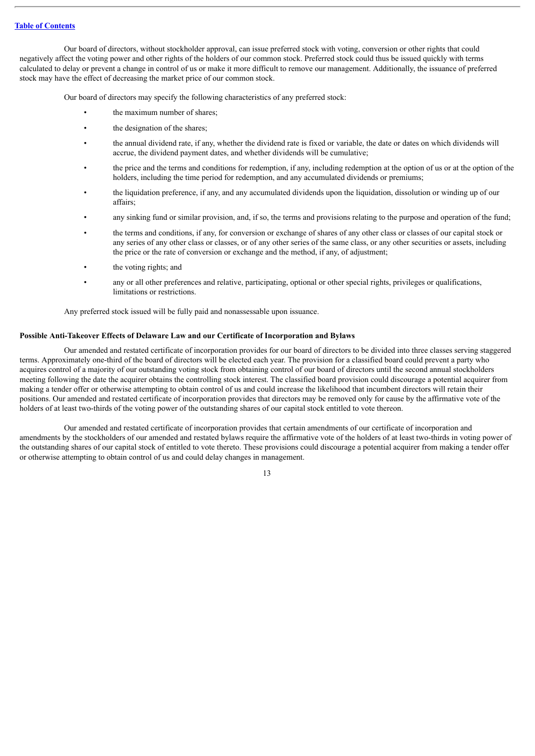Our board of directors, without stockholder approval, can issue preferred stock with voting, conversion or other rights that could negatively affect the voting power and other rights of the holders of our common stock. Preferred stock could thus be issued quickly with terms calculated to delay or prevent a change in control of us or make it more difficult to remove our management. Additionally, the issuance of preferred stock may have the effect of decreasing the market price of our common stock.

Our board of directors may specify the following characteristics of any preferred stock:

- the maximum number of shares;
- the designation of the shares;
- the annual dividend rate, if any, whether the dividend rate is fixed or variable, the date or dates on which dividends will accrue, the dividend payment dates, and whether dividends will be cumulative;
- the price and the terms and conditions for redemption, if any, including redemption at the option of us or at the option of the holders, including the time period for redemption, and any accumulated dividends or premiums;
- the liquidation preference, if any, and any accumulated dividends upon the liquidation, dissolution or winding up of our affairs;
- any sinking fund or similar provision, and, if so, the terms and provisions relating to the purpose and operation of the fund;
- the terms and conditions, if any, for conversion or exchange of shares of any other class or classes of our capital stock or any series of any other class or classes, or of any other series of the same class, or any other securities or assets, including the price or the rate of conversion or exchange and the method, if any, of adjustment;
- the voting rights; and
- any or all other preferences and relative, participating, optional or other special rights, privileges or qualifications, limitations or restrictions.

Any preferred stock issued will be fully paid and nonassessable upon issuance.

#### **Possible Anti-Takeover Effects of Delaware Law and our Certificate of Incorporation and Bylaws**

Our amended and restated certificate of incorporation provides for our board of directors to be divided into three classes serving staggered terms. Approximately one-third of the board of directors will be elected each year. The provision for a classified board could prevent a party who acquires control of a majority of our outstanding voting stock from obtaining control of our board of directors until the second annual stockholders meeting following the date the acquirer obtains the controlling stock interest. The classified board provision could discourage a potential acquirer from making a tender offer or otherwise attempting to obtain control of us and could increase the likelihood that incumbent directors will retain their positions. Our amended and restated certificate of incorporation provides that directors may be removed only for cause by the affirmative vote of the holders of at least two-thirds of the voting power of the outstanding shares of our capital stock entitled to vote thereon.

Our amended and restated certificate of incorporation provides that certain amendments of our certificate of incorporation and amendments by the stockholders of our amended and restated bylaws require the affirmative vote of the holders of at least two-thirds in voting power of the outstanding shares of our capital stock of entitled to vote thereto. These provisions could discourage a potential acquirer from making a tender offer or otherwise attempting to obtain control of us and could delay changes in management.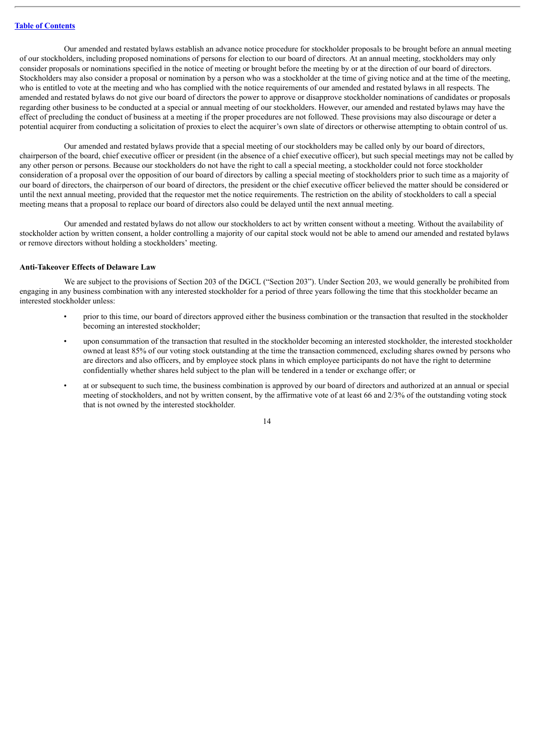Our amended and restated bylaws establish an advance notice procedure for stockholder proposals to be brought before an annual meeting of our stockholders, including proposed nominations of persons for election to our board of directors. At an annual meeting, stockholders may only consider proposals or nominations specified in the notice of meeting or brought before the meeting by or at the direction of our board of directors. Stockholders may also consider a proposal or nomination by a person who was a stockholder at the time of giving notice and at the time of the meeting, who is entitled to vote at the meeting and who has complied with the notice requirements of our amended and restated bylaws in all respects. The amended and restated bylaws do not give our board of directors the power to approve or disapprove stockholder nominations of candidates or proposals regarding other business to be conducted at a special or annual meeting of our stockholders. However, our amended and restated bylaws may have the effect of precluding the conduct of business at a meeting if the proper procedures are not followed. These provisions may also discourage or deter a potential acquirer from conducting a solicitation of proxies to elect the acquirer's own slate of directors or otherwise attempting to obtain control of us.

Our amended and restated bylaws provide that a special meeting of our stockholders may be called only by our board of directors, chairperson of the board, chief executive officer or president (in the absence of a chief executive officer), but such special meetings may not be called by any other person or persons. Because our stockholders do not have the right to call a special meeting, a stockholder could not force stockholder consideration of a proposal over the opposition of our board of directors by calling a special meeting of stockholders prior to such time as a majority of our board of directors, the chairperson of our board of directors, the president or the chief executive officer believed the matter should be considered or until the next annual meeting, provided that the requestor met the notice requirements. The restriction on the ability of stockholders to call a special meeting means that a proposal to replace our board of directors also could be delayed until the next annual meeting.

Our amended and restated bylaws do not allow our stockholders to act by written consent without a meeting. Without the availability of stockholder action by written consent, a holder controlling a majority of our capital stock would not be able to amend our amended and restated bylaws or remove directors without holding a stockholders' meeting.

#### **Anti-Takeover Effects of Delaware Law**

We are subject to the provisions of Section 203 of the DGCL ("Section 203"). Under Section 203, we would generally be prohibited from engaging in any business combination with any interested stockholder for a period of three years following the time that this stockholder became an interested stockholder unless:

- prior to this time, our board of directors approved either the business combination or the transaction that resulted in the stockholder becoming an interested stockholder;
- upon consummation of the transaction that resulted in the stockholder becoming an interested stockholder, the interested stockholder owned at least 85% of our voting stock outstanding at the time the transaction commenced, excluding shares owned by persons who are directors and also officers, and by employee stock plans in which employee participants do not have the right to determine confidentially whether shares held subject to the plan will be tendered in a tender or exchange offer; or
- at or subsequent to such time, the business combination is approved by our board of directors and authorized at an annual or special meeting of stockholders, and not by written consent, by the affirmative vote of at least 66 and 2/3% of the outstanding voting stock that is not owned by the interested stockholder.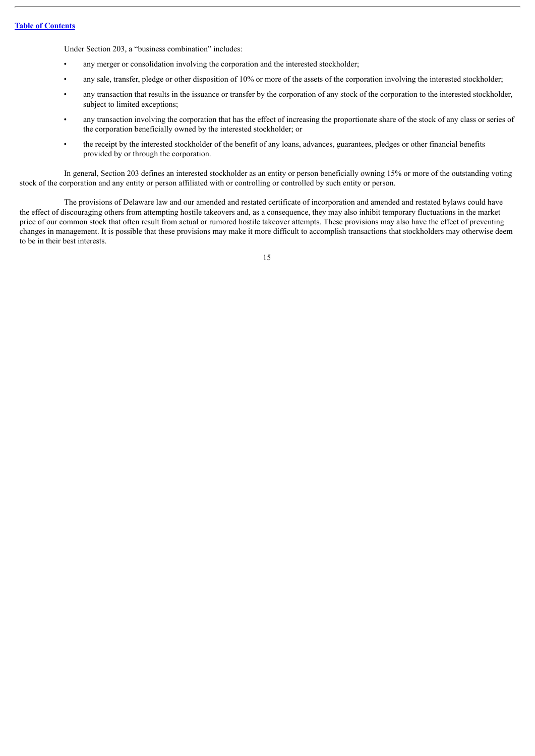Under Section 203, a "business combination" includes:

- any merger or consolidation involving the corporation and the interested stockholder;
- any sale, transfer, pledge or other disposition of 10% or more of the assets of the corporation involving the interested stockholder;
- any transaction that results in the issuance or transfer by the corporation of any stock of the corporation to the interested stockholder, subject to limited exceptions;
- any transaction involving the corporation that has the effect of increasing the proportionate share of the stock of any class or series of the corporation beneficially owned by the interested stockholder; or
- the receipt by the interested stockholder of the benefit of any loans, advances, guarantees, pledges or other financial benefits provided by or through the corporation.

In general, Section 203 defines an interested stockholder as an entity or person beneficially owning 15% or more of the outstanding voting stock of the corporation and any entity or person affiliated with or controlling or controlled by such entity or person.

The provisions of Delaware law and our amended and restated certificate of incorporation and amended and restated bylaws could have the effect of discouraging others from attempting hostile takeovers and, as a consequence, they may also inhibit temporary fluctuations in the market price of our common stock that often result from actual or rumored hostile takeover attempts. These provisions may also have the effect of preventing changes in management. It is possible that these provisions may make it more difficult to accomplish transactions that stockholders may otherwise deem to be in their best interests.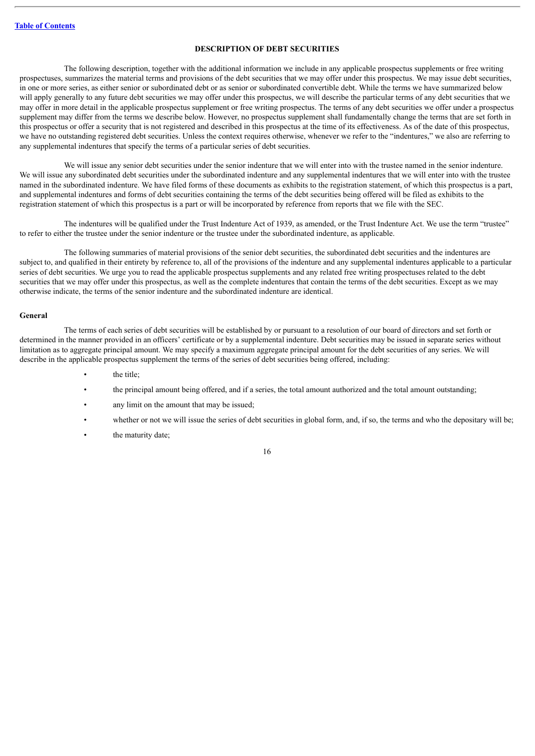#### **DESCRIPTION OF DEBT SECURITIES**

<span id="page-37-0"></span>The following description, together with the additional information we include in any applicable prospectus supplements or free writing prospectuses, summarizes the material terms and provisions of the debt securities that we may offer under this prospectus. We may issue debt securities, in one or more series, as either senior or subordinated debt or as senior or subordinated convertible debt. While the terms we have summarized below will apply generally to any future debt securities we may offer under this prospectus, we will describe the particular terms of any debt securities that we may offer in more detail in the applicable prospectus supplement or free writing prospectus. The terms of any debt securities we offer under a prospectus supplement may differ from the terms we describe below. However, no prospectus supplement shall fundamentally change the terms that are set forth in this prospectus or offer a security that is not registered and described in this prospectus at the time of its effectiveness. As of the date of this prospectus, we have no outstanding registered debt securities. Unless the context requires otherwise, whenever we refer to the "indentures," we also are referring to any supplemental indentures that specify the terms of a particular series of debt securities.

We will issue any senior debt securities under the senior indenture that we will enter into with the trustee named in the senior indenture. We will issue any subordinated debt securities under the subordinated indenture and any supplemental indentures that we will enter into with the trustee named in the subordinated indenture. We have filed forms of these documents as exhibits to the registration statement, of which this prospectus is a part, and supplemental indentures and forms of debt securities containing the terms of the debt securities being offered will be filed as exhibits to the registration statement of which this prospectus is a part or will be incorporated by reference from reports that we file with the SEC.

The indentures will be qualified under the Trust Indenture Act of 1939, as amended, or the Trust Indenture Act. We use the term "trustee" to refer to either the trustee under the senior indenture or the trustee under the subordinated indenture, as applicable.

The following summaries of material provisions of the senior debt securities, the subordinated debt securities and the indentures are subject to, and qualified in their entirety by reference to, all of the provisions of the indenture and any supplemental indentures applicable to a particular series of debt securities. We urge you to read the applicable prospectus supplements and any related free writing prospectuses related to the debt securities that we may offer under this prospectus, as well as the complete indentures that contain the terms of the debt securities. Except as we may otherwise indicate, the terms of the senior indenture and the subordinated indenture are identical.

#### **General**

The terms of each series of debt securities will be established by or pursuant to a resolution of our board of directors and set forth or determined in the manner provided in an officers' certificate or by a supplemental indenture. Debt securities may be issued in separate series without limitation as to aggregate principal amount. We may specify a maximum aggregate principal amount for the debt securities of any series. We will describe in the applicable prospectus supplement the terms of the series of debt securities being offered, including:

- the title:
- the principal amount being offered, and if a series, the total amount authorized and the total amount outstanding;
- any limit on the amount that may be issued;
- whether or not we will issue the series of debt securities in global form, and, if so, the terms and who the depositary will be;
- the maturity date;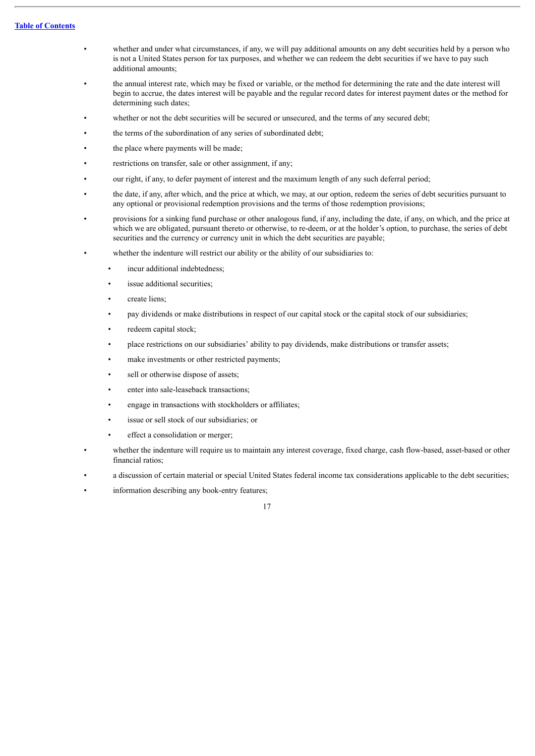- whether and under what circumstances, if any, we will pay additional amounts on any debt securities held by a person who is not a United States person for tax purposes, and whether we can redeem the debt securities if we have to pay such additional amounts;
- the annual interest rate, which may be fixed or variable, or the method for determining the rate and the date interest will begin to accrue, the dates interest will be payable and the regular record dates for interest payment dates or the method for determining such dates;
- whether or not the debt securities will be secured or unsecured, and the terms of any secured debt;
- the terms of the subordination of any series of subordinated debt;
- the place where payments will be made;
- restrictions on transfer, sale or other assignment, if any;
- our right, if any, to defer payment of interest and the maximum length of any such deferral period;
- the date, if any, after which, and the price at which, we may, at our option, redeem the series of debt securities pursuant to any optional or provisional redemption provisions and the terms of those redemption provisions;
- provisions for a sinking fund purchase or other analogous fund, if any, including the date, if any, on which, and the price at which we are obligated, pursuant thereto or otherwise, to re-deem, or at the holder's option, to purchase, the series of debt securities and the currency or currency unit in which the debt securities are payable;
	- whether the indenture will restrict our ability or the ability of our subsidiaries to:
		- incur additional indebtedness;
		- issue additional securities:
		- create liens;
		- pay dividends or make distributions in respect of our capital stock or the capital stock of our subsidiaries;
		- redeem capital stock;
		- place restrictions on our subsidiaries' ability to pay dividends, make distributions or transfer assets;
		- make investments or other restricted payments;
		- sell or otherwise dispose of assets;
		- enter into sale-leaseback transactions;
		- engage in transactions with stockholders or affiliates;
		- issue or sell stock of our subsidiaries; or
		- effect a consolidation or merger;
- whether the indenture will require us to maintain any interest coverage, fixed charge, cash flow-based, asset-based or other financial ratios;
- a discussion of certain material or special United States federal income tax considerations applicable to the debt securities;
- information describing any book-entry features;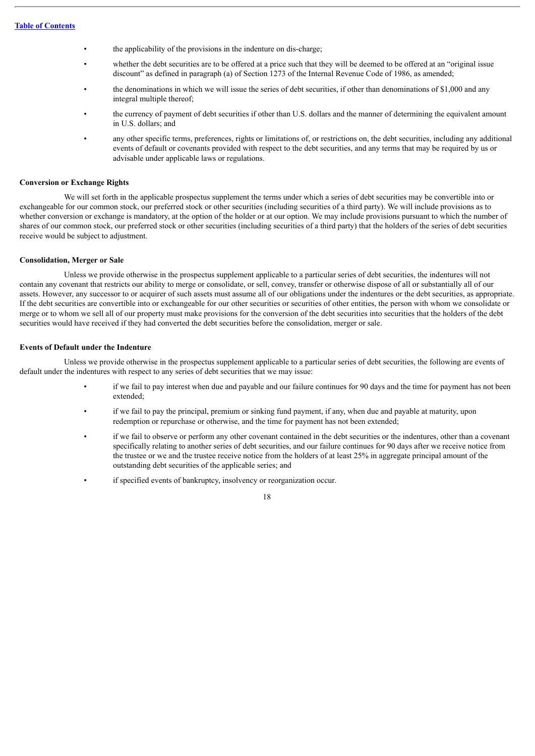- the applicability of the provisions in the indenture on dis-charge;
- whether the debt securities are to be offered at a price such that they will be deemed to be offered at an "original issue discount" as defined in paragraph (a) of Section 1273 of the Internal Revenue Code of 1986, as amended;
- the denominations in which we will issue the series of debt securities, if other than denominations of \$1,000 and any integral multiple thereof;
- the currency of payment of debt securities if other than U.S. dollars and the manner of determining the equivalent amount in U.S. dollars; and
- any other specific terms, preferences, rights or limitations of, or restrictions on, the debt securities, including any additional events of default or covenants provided with respect to the debt securities, and any terms that may be required by us or advisable under applicable laws or regulations.

#### **Conversion or Exchange Rights**

We will set forth in the applicable prospectus supplement the terms under which a series of debt securities may be convertible into or exchangeable for our common stock, our preferred stock or other securities (including securities of a third party). We will include provisions as to whether conversion or exchange is mandatory, at the option of the holder or at our option. We may include provisions pursuant to which the number of shares of our common stock, our preferred stock or other securities (including securities of a third party) that the holders of the series of debt securities receive would be subject to adjustment.

#### **Consolidation, Merger or Sale**

Unless we provide otherwise in the prospectus supplement applicable to a particular series of debt securities, the indentures will not contain any covenant that restricts our ability to merge or consolidate, or sell, convey, transfer or otherwise dispose of all or substantially all of our assets. However, any successor to or acquirer of such assets must assume all of our obligations under the indentures or the debt securities, as appropriate. If the debt securities are convertible into or exchangeable for our other securities or securities of other entities, the person with whom we consolidate or merge or to whom we sell all of our property must make provisions for the conversion of the debt securities into securities that the holders of the debt securities would have received if they had converted the debt securities before the consolidation, merger or sale.

#### **Events of Default under the Indenture**

Unless we provide otherwise in the prospectus supplement applicable to a particular series of debt securities, the following are events of default under the indentures with respect to any series of debt securities that we may issue:

- if we fail to pay interest when due and payable and our failure continues for 90 days and the time for payment has not been extended;
- if we fail to pay the principal, premium or sinking fund payment, if any, when due and payable at maturity, upon redemption or repurchase or otherwise, and the time for payment has not been extended;
- if we fail to observe or perform any other covenant contained in the debt securities or the indentures, other than a covenant specifically relating to another series of debt securities, and our failure continues for 90 days after we receive notice from the trustee or we and the trustee receive notice from the holders of at least 25% in aggregate principal amount of the outstanding debt securities of the applicable series; and
	- if specified events of bankruptcy, insolvency or reorganization occur.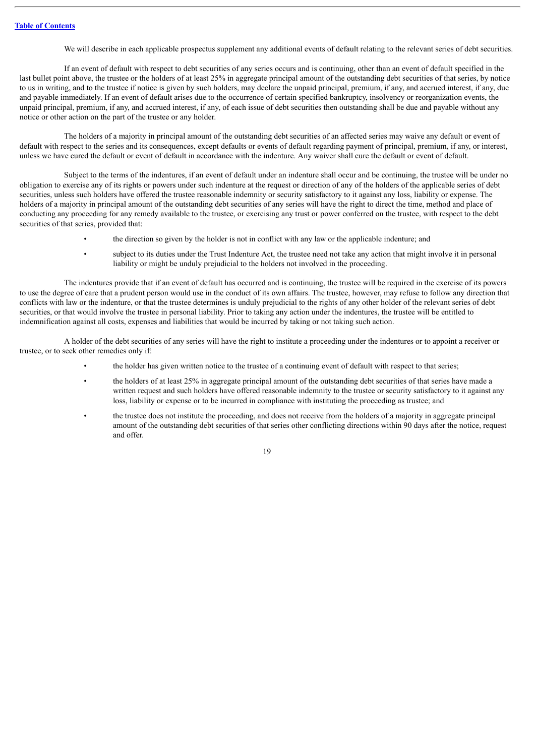We will describe in each applicable prospectus supplement any additional events of default relating to the relevant series of debt securities.

If an event of default with respect to debt securities of any series occurs and is continuing, other than an event of default specified in the last bullet point above, the trustee or the holders of at least 25% in aggregate principal amount of the outstanding debt securities of that series, by notice to us in writing, and to the trustee if notice is given by such holders, may declare the unpaid principal, premium, if any, and accrued interest, if any, due and payable immediately. If an event of default arises due to the occurrence of certain specified bankruptcy, insolvency or reorganization events, the unpaid principal, premium, if any, and accrued interest, if any, of each issue of debt securities then outstanding shall be due and payable without any notice or other action on the part of the trustee or any holder.

The holders of a majority in principal amount of the outstanding debt securities of an affected series may waive any default or event of default with respect to the series and its consequences, except defaults or events of default regarding payment of principal, premium, if any, or interest, unless we have cured the default or event of default in accordance with the indenture. Any waiver shall cure the default or event of default.

Subject to the terms of the indentures, if an event of default under an indenture shall occur and be continuing, the trustee will be under no obligation to exercise any of its rights or powers under such indenture at the request or direction of any of the holders of the applicable series of debt securities, unless such holders have offered the trustee reasonable indemnity or security satisfactory to it against any loss, liability or expense. The holders of a majority in principal amount of the outstanding debt securities of any series will have the right to direct the time, method and place of conducting any proceeding for any remedy available to the trustee, or exercising any trust or power conferred on the trustee, with respect to the debt securities of that series, provided that:

- the direction so given by the holder is not in conflict with any law or the applicable indenture; and
- subject to its duties under the Trust Indenture Act, the trustee need not take any action that might involve it in personal liability or might be unduly prejudicial to the holders not involved in the proceeding.

The indentures provide that if an event of default has occurred and is continuing, the trustee will be required in the exercise of its powers to use the degree of care that a prudent person would use in the conduct of its own affairs. The trustee, however, may refuse to follow any direction that conflicts with law or the indenture, or that the trustee determines is unduly prejudicial to the rights of any other holder of the relevant series of debt securities, or that would involve the trustee in personal liability. Prior to taking any action under the indentures, the trustee will be entitled to indemnification against all costs, expenses and liabilities that would be incurred by taking or not taking such action.

A holder of the debt securities of any series will have the right to institute a proceeding under the indentures or to appoint a receiver or trustee, or to seek other remedies only if:

- the holder has given written notice to the trustee of a continuing event of default with respect to that series;
- the holders of at least 25% in aggregate principal amount of the outstanding debt securities of that series have made a written request and such holders have offered reasonable indemnity to the trustee or security satisfactory to it against any loss, liability or expense or to be incurred in compliance with instituting the proceeding as trustee; and
- the trustee does not institute the proceeding, and does not receive from the holders of a majority in aggregate principal amount of the outstanding debt securities of that series other conflicting directions within 90 days after the notice, request and offer.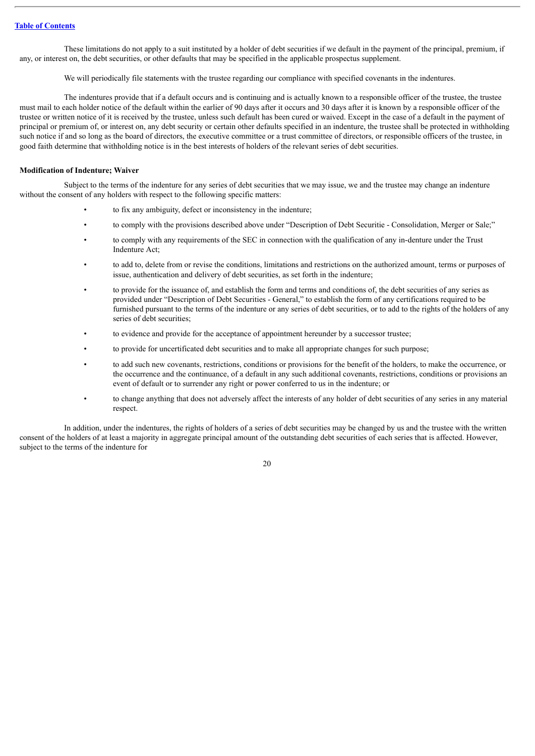These limitations do not apply to a suit instituted by a holder of debt securities if we default in the payment of the principal, premium, if any, or interest on, the debt securities, or other defaults that may be specified in the applicable prospectus supplement.

We will periodically file statements with the trustee regarding our compliance with specified covenants in the indentures.

The indentures provide that if a default occurs and is continuing and is actually known to a responsible officer of the trustee, the trustee must mail to each holder notice of the default within the earlier of 90 days after it occurs and 30 days after it is known by a responsible officer of the trustee or written notice of it is received by the trustee, unless such default has been cured or waived. Except in the case of a default in the payment of principal or premium of, or interest on, any debt security or certain other defaults specified in an indenture, the trustee shall be protected in withholding such notice if and so long as the board of directors, the executive committee or a trust committee of directors, or responsible officers of the trustee, in good faith determine that withholding notice is in the best interests of holders of the relevant series of debt securities.

#### **Modification of Indenture; Waiver**

Subject to the terms of the indenture for any series of debt securities that we may issue, we and the trustee may change an indenture without the consent of any holders with respect to the following specific matters:

- to fix any ambiguity, defect or inconsistency in the indenture;
- to comply with the provisions described above under "Description of Debt Securitie Consolidation, Merger or Sale;"
- to comply with any requirements of the SEC in connection with the qualification of any in-denture under the Trust Indenture Act;
- to add to, delete from or revise the conditions, limitations and restrictions on the authorized amount, terms or purposes of issue, authentication and delivery of debt securities, as set forth in the indenture;
- to provide for the issuance of, and establish the form and terms and conditions of, the debt securities of any series as provided under "Description of Debt Securities - General," to establish the form of any certifications required to be furnished pursuant to the terms of the indenture or any series of debt securities, or to add to the rights of the holders of any series of debt securities;
- to evidence and provide for the acceptance of appointment hereunder by a successor trustee;
- to provide for uncertificated debt securities and to make all appropriate changes for such purpose;
- to add such new covenants, restrictions, conditions or provisions for the benefit of the holders, to make the occurrence, or the occurrence and the continuance, of a default in any such additional covenants, restrictions, conditions or provisions an event of default or to surrender any right or power conferred to us in the indenture; or
- to change anything that does not adversely affect the interests of any holder of debt securities of any series in any material respect.

In addition, under the indentures, the rights of holders of a series of debt securities may be changed by us and the trustee with the written consent of the holders of at least a majority in aggregate principal amount of the outstanding debt securities of each series that is affected. However, subject to the terms of the indenture for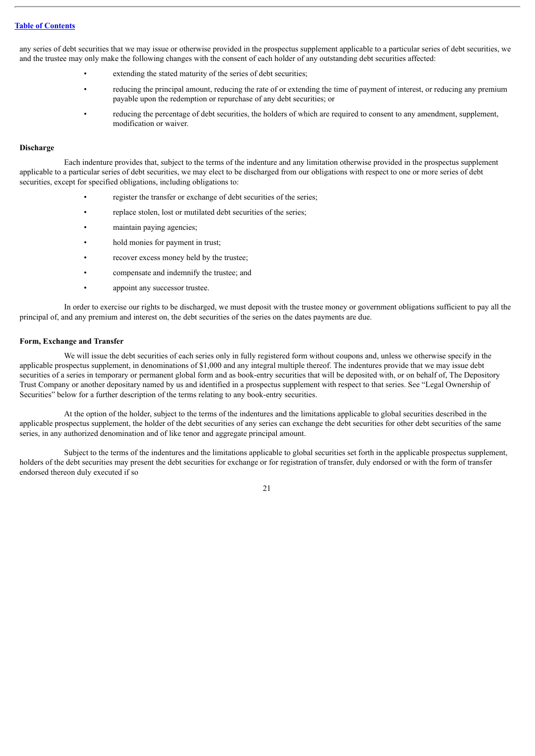any series of debt securities that we may issue or otherwise provided in the prospectus supplement applicable to a particular series of debt securities, we and the trustee may only make the following changes with the consent of each holder of any outstanding debt securities affected:

- extending the stated maturity of the series of debt securities;
- reducing the principal amount, reducing the rate of or extending the time of payment of interest, or reducing any premium payable upon the redemption or repurchase of any debt securities; or
- reducing the percentage of debt securities, the holders of which are required to consent to any amendment, supplement, modification or waiver.

#### **Discharge**

Each indenture provides that, subject to the terms of the indenture and any limitation otherwise provided in the prospectus supplement applicable to a particular series of debt securities, we may elect to be discharged from our obligations with respect to one or more series of debt securities, except for specified obligations, including obligations to:

- register the transfer or exchange of debt securities of the series;
- replace stolen, lost or mutilated debt securities of the series;
- maintain paying agencies;
- hold monies for payment in trust;
- recover excess money held by the trustee;
- compensate and indemnify the trustee; and
- appoint any successor trustee.

In order to exercise our rights to be discharged, we must deposit with the trustee money or government obligations sufficient to pay all the principal of, and any premium and interest on, the debt securities of the series on the dates payments are due.

#### **Form, Exchange and Transfer**

We will issue the debt securities of each series only in fully registered form without coupons and, unless we otherwise specify in the applicable prospectus supplement, in denominations of \$1,000 and any integral multiple thereof. The indentures provide that we may issue debt securities of a series in temporary or permanent global form and as book-entry securities that will be deposited with, or on behalf of, The Depository Trust Company or another depositary named by us and identified in a prospectus supplement with respect to that series. See "Legal Ownership of Securities" below for a further description of the terms relating to any book-entry securities.

At the option of the holder, subject to the terms of the indentures and the limitations applicable to global securities described in the applicable prospectus supplement, the holder of the debt securities of any series can exchange the debt securities for other debt securities of the same series, in any authorized denomination and of like tenor and aggregate principal amount.

Subject to the terms of the indentures and the limitations applicable to global securities set forth in the applicable prospectus supplement, holders of the debt securities may present the debt securities for exchange or for registration of transfer, duly endorsed or with the form of transfer endorsed thereon duly executed if so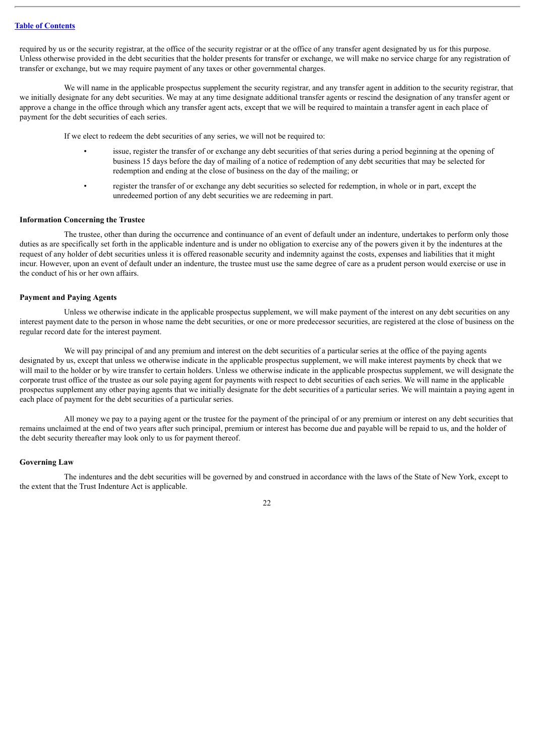required by us or the security registrar, at the office of the security registrar or at the office of any transfer agent designated by us for this purpose. Unless otherwise provided in the debt securities that the holder presents for transfer or exchange, we will make no service charge for any registration of transfer or exchange, but we may require payment of any taxes or other governmental charges.

We will name in the applicable prospectus supplement the security registrar, and any transfer agent in addition to the security registrar, that we initially designate for any debt securities. We may at any time designate additional transfer agents or rescind the designation of any transfer agent or approve a change in the office through which any transfer agent acts, except that we will be required to maintain a transfer agent in each place of payment for the debt securities of each series.

If we elect to redeem the debt securities of any series, we will not be required to:

- issue, register the transfer of or exchange any debt securities of that series during a period beginning at the opening of business 15 days before the day of mailing of a notice of redemption of any debt securities that may be selected for redemption and ending at the close of business on the day of the mailing; or
	- register the transfer of or exchange any debt securities so selected for redemption, in whole or in part, except the unredeemed portion of any debt securities we are redeeming in part.

## **Information Concerning the Trustee**

The trustee, other than during the occurrence and continuance of an event of default under an indenture, undertakes to perform only those duties as are specifically set forth in the applicable indenture and is under no obligation to exercise any of the powers given it by the indentures at the request of any holder of debt securities unless it is offered reasonable security and indemnity against the costs, expenses and liabilities that it might incur. However, upon an event of default under an indenture, the trustee must use the same degree of care as a prudent person would exercise or use in the conduct of his or her own affairs.

#### **Payment and Paying Agents**

Unless we otherwise indicate in the applicable prospectus supplement, we will make payment of the interest on any debt securities on any interest payment date to the person in whose name the debt securities, or one or more predecessor securities, are registered at the close of business on the regular record date for the interest payment.

We will pay principal of and any premium and interest on the debt securities of a particular series at the office of the paying agents designated by us, except that unless we otherwise indicate in the applicable prospectus supplement, we will make interest payments by check that we will mail to the holder or by wire transfer to certain holders. Unless we otherwise indicate in the applicable prospectus supplement, we will designate the corporate trust office of the trustee as our sole paying agent for payments with respect to debt securities of each series. We will name in the applicable prospectus supplement any other paying agents that we initially designate for the debt securities of a particular series. We will maintain a paying agent in each place of payment for the debt securities of a particular series.

All money we pay to a paying agent or the trustee for the payment of the principal of or any premium or interest on any debt securities that remains unclaimed at the end of two years after such principal, premium or interest has become due and payable will be repaid to us, and the holder of the debt security thereafter may look only to us for payment thereof.

#### **Governing Law**

The indentures and the debt securities will be governed by and construed in accordance with the laws of the State of New York, except to the extent that the Trust Indenture Act is applicable.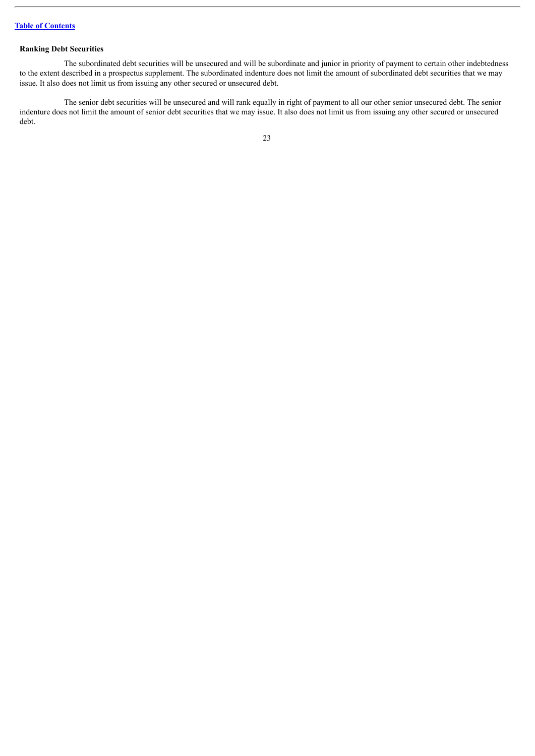# **Ranking Debt Securities**

The subordinated debt securities will be unsecured and will be subordinate and junior in priority of payment to certain other indebtedness to the extent described in a prospectus supplement. The subordinated indenture does not limit the amount of subordinated debt securities that we may issue. It also does not limit us from issuing any other secured or unsecured debt.

The senior debt securities will be unsecured and will rank equally in right of payment to all our other senior unsecured debt. The senior indenture does not limit the amount of senior debt securities that we may issue. It also does not limit us from issuing any other secured or unsecured debt.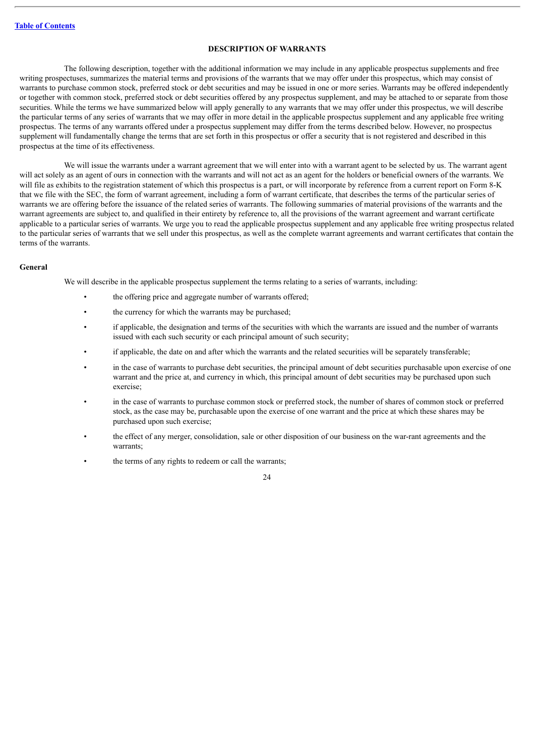## **DESCRIPTION OF WARRANTS**

<span id="page-45-0"></span>The following description, together with the additional information we may include in any applicable prospectus supplements and free writing prospectuses, summarizes the material terms and provisions of the warrants that we may offer under this prospectus, which may consist of warrants to purchase common stock, preferred stock or debt securities and may be issued in one or more series. Warrants may be offered independently or together with common stock, preferred stock or debt securities offered by any prospectus supplement, and may be attached to or separate from those securities. While the terms we have summarized below will apply generally to any warrants that we may offer under this prospectus, we will describe the particular terms of any series of warrants that we may offer in more detail in the applicable prospectus supplement and any applicable free writing prospectus. The terms of any warrants offered under a prospectus supplement may differ from the terms described below. However, no prospectus supplement will fundamentally change the terms that are set forth in this prospectus or offer a security that is not registered and described in this prospectus at the time of its effectiveness.

We will issue the warrants under a warrant agreement that we will enter into with a warrant agent to be selected by us. The warrant agent will act solely as an agent of ours in connection with the warrants and will not act as an agent for the holders or beneficial owners of the warrants. We will file as exhibits to the registration statement of which this prospectus is a part, or will incorporate by reference from a current report on Form 8-K that we file with the SEC, the form of warrant agreement, including a form of warrant certificate, that describes the terms of the particular series of warrants we are offering before the issuance of the related series of warrants. The following summaries of material provisions of the warrants and the warrant agreements are subject to, and qualified in their entirety by reference to, all the provisions of the warrant agreement and warrant certificate applicable to a particular series of warrants. We urge you to read the applicable prospectus supplement and any applicable free writing prospectus related to the particular series of warrants that we sell under this prospectus, as well as the complete warrant agreements and warrant certificates that contain the terms of the warrants.

#### **General**

We will describe in the applicable prospectus supplement the terms relating to a series of warrants, including:

- the offering price and aggregate number of warrants offered;
- the currency for which the warrants may be purchased;
- if applicable, the designation and terms of the securities with which the warrants are issued and the number of warrants issued with each such security or each principal amount of such security;
- if applicable, the date on and after which the warrants and the related securities will be separately transferable;
- in the case of warrants to purchase debt securities, the principal amount of debt securities purchasable upon exercise of one warrant and the price at, and currency in which, this principal amount of debt securities may be purchased upon such exercise;
- in the case of warrants to purchase common stock or preferred stock, the number of shares of common stock or preferred stock, as the case may be, purchasable upon the exercise of one warrant and the price at which these shares may be purchased upon such exercise;
- the effect of any merger, consolidation, sale or other disposition of our business on the war-rant agreements and the warrants;
- the terms of any rights to redeem or call the warrants;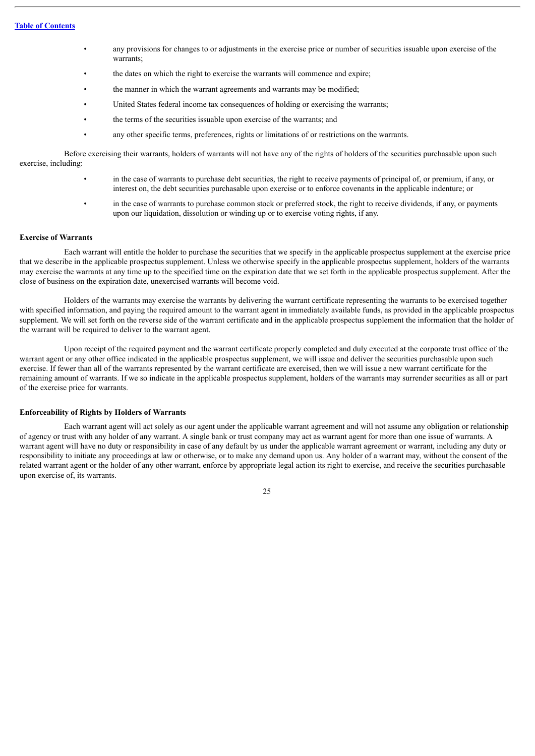- any provisions for changes to or adjustments in the exercise price or number of securities issuable upon exercise of the warrants;
- the dates on which the right to exercise the warrants will commence and expire;
- the manner in which the warrant agreements and warrants may be modified;
- United States federal income tax consequences of holding or exercising the warrants;
- the terms of the securities issuable upon exercise of the warrants; and
- any other specific terms, preferences, rights or limitations of or restrictions on the warrants.

Before exercising their warrants, holders of warrants will not have any of the rights of holders of the securities purchasable upon such exercise, including:

- in the case of warrants to purchase debt securities, the right to receive payments of principal of, or premium, if any, or interest on, the debt securities purchasable upon exercise or to enforce covenants in the applicable indenture; or
- in the case of warrants to purchase common stock or preferred stock, the right to receive dividends, if any, or payments upon our liquidation, dissolution or winding up or to exercise voting rights, if any.

#### **Exercise of Warrants**

Each warrant will entitle the holder to purchase the securities that we specify in the applicable prospectus supplement at the exercise price that we describe in the applicable prospectus supplement. Unless we otherwise specify in the applicable prospectus supplement, holders of the warrants may exercise the warrants at any time up to the specified time on the expiration date that we set forth in the applicable prospectus supplement. After the close of business on the expiration date, unexercised warrants will become void.

Holders of the warrants may exercise the warrants by delivering the warrant certificate representing the warrants to be exercised together with specified information, and paying the required amount to the warrant agent in immediately available funds, as provided in the applicable prospectus supplement. We will set forth on the reverse side of the warrant certificate and in the applicable prospectus supplement the information that the holder of the warrant will be required to deliver to the warrant agent.

Upon receipt of the required payment and the warrant certificate properly completed and duly executed at the corporate trust office of the warrant agent or any other office indicated in the applicable prospectus supplement, we will issue and deliver the securities purchasable upon such exercise. If fewer than all of the warrants represented by the warrant certificate are exercised, then we will issue a new warrant certificate for the remaining amount of warrants. If we so indicate in the applicable prospectus supplement, holders of the warrants may surrender securities as all or part of the exercise price for warrants.

#### **Enforceability of Rights by Holders of Warrants**

Each warrant agent will act solely as our agent under the applicable warrant agreement and will not assume any obligation or relationship of agency or trust with any holder of any warrant. A single bank or trust company may act as warrant agent for more than one issue of warrants. A warrant agent will have no duty or responsibility in case of any default by us under the applicable warrant agreement or warrant, including any duty or responsibility to initiate any proceedings at law or otherwise, or to make any demand upon us. Any holder of a warrant may, without the consent of the related warrant agent or the holder of any other warrant, enforce by appropriate legal action its right to exercise, and receive the securities purchasable upon exercise of, its warrants.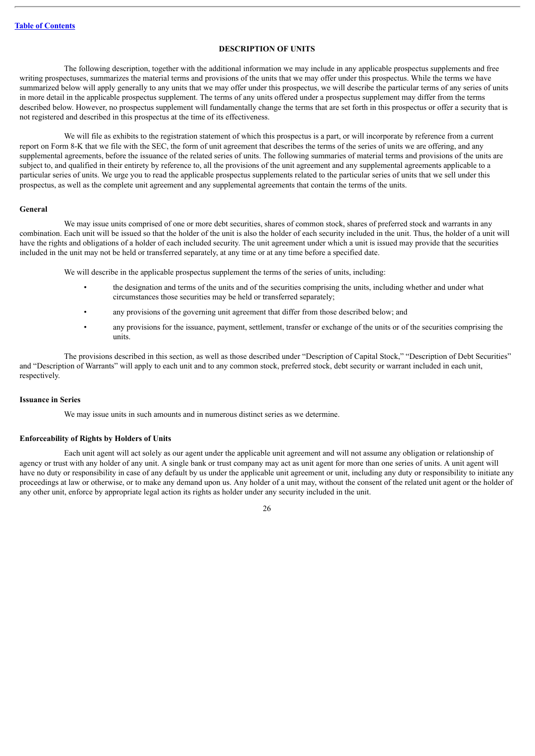#### **DESCRIPTION OF UNITS**

<span id="page-47-0"></span>The following description, together with the additional information we may include in any applicable prospectus supplements and free writing prospectuses, summarizes the material terms and provisions of the units that we may offer under this prospectus. While the terms we have summarized below will apply generally to any units that we may offer under this prospectus, we will describe the particular terms of any series of units in more detail in the applicable prospectus supplement. The terms of any units offered under a prospectus supplement may differ from the terms described below. However, no prospectus supplement will fundamentally change the terms that are set forth in this prospectus or offer a security that is not registered and described in this prospectus at the time of its effectiveness.

We will file as exhibits to the registration statement of which this prospectus is a part, or will incorporate by reference from a current report on Form 8-K that we file with the SEC, the form of unit agreement that describes the terms of the series of units we are offering, and any supplemental agreements, before the issuance of the related series of units. The following summaries of material terms and provisions of the units are subject to, and qualified in their entirety by reference to, all the provisions of the unit agreement and any supplemental agreements applicable to a particular series of units. We urge you to read the applicable prospectus supplements related to the particular series of units that we sell under this prospectus, as well as the complete unit agreement and any supplemental agreements that contain the terms of the units.

#### **General**

We may issue units comprised of one or more debt securities, shares of common stock, shares of preferred stock and warrants in any combination. Each unit will be issued so that the holder of the unit is also the holder of each security included in the unit. Thus, the holder of a unit will have the rights and obligations of a holder of each included security. The unit agreement under which a unit is issued may provide that the securities included in the unit may not be held or transferred separately, at any time or at any time before a specified date.

We will describe in the applicable prospectus supplement the terms of the series of units, including:

- the designation and terms of the units and of the securities comprising the units, including whether and under what circumstances those securities may be held or transferred separately;
- any provisions of the governing unit agreement that differ from those described below; and
- any provisions for the issuance, payment, settlement, transfer or exchange of the units or of the securities comprising the units.

The provisions described in this section, as well as those described under "Description of Capital Stock," "Description of Debt Securities" and "Description of Warrants" will apply to each unit and to any common stock, preferred stock, debt security or warrant included in each unit, respectively.

#### **Issuance in Series**

We may issue units in such amounts and in numerous distinct series as we determine.

# **Enforceability of Rights by Holders of Units**

Each unit agent will act solely as our agent under the applicable unit agreement and will not assume any obligation or relationship of agency or trust with any holder of any unit. A single bank or trust company may act as unit agent for more than one series of units. A unit agent will have no duty or responsibility in case of any default by us under the applicable unit agreement or unit, including any duty or responsibility to initiate any proceedings at law or otherwise, or to make any demand upon us. Any holder of a unit may, without the consent of the related unit agent or the holder of any other unit, enforce by appropriate legal action its rights as holder under any security included in the unit.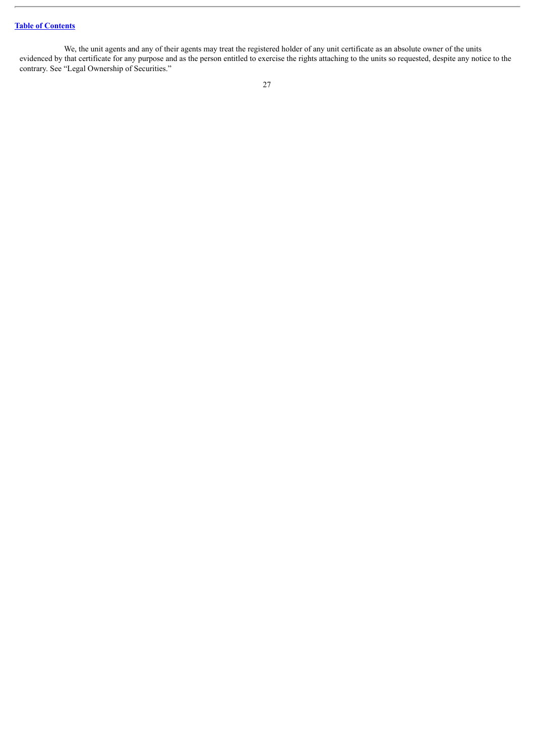We, the unit agents and any of their agents may treat the registered holder of any unit certificate as an absolute owner of the units evidenced by that certificate for any purpose and as the person entitled to exercise the rights attaching to the units so requested, despite any notice to the contrary. See "Legal Ownership of Securities."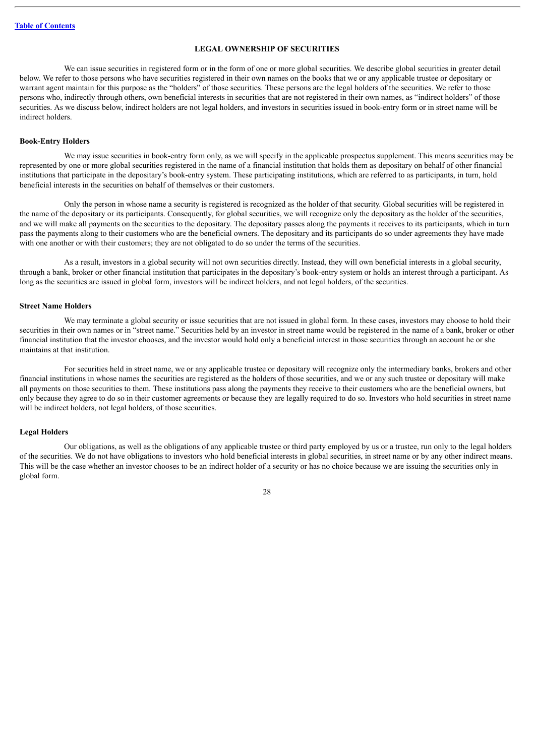#### **LEGAL OWNERSHIP OF SECURITIES**

<span id="page-49-0"></span>We can issue securities in registered form or in the form of one or more global securities. We describe global securities in greater detail below. We refer to those persons who have securities registered in their own names on the books that we or any applicable trustee or depositary or warrant agent maintain for this purpose as the "holders" of those securities. These persons are the legal holders of the securities. We refer to those persons who, indirectly through others, own beneficial interests in securities that are not registered in their own names, as "indirect holders" of those securities. As we discuss below, indirect holders are not legal holders, and investors in securities issued in book-entry form or in street name will be indirect holders.

#### **Book-Entry Holders**

We may issue securities in book-entry form only, as we will specify in the applicable prospectus supplement. This means securities may be represented by one or more global securities registered in the name of a financial institution that holds them as depositary on behalf of other financial institutions that participate in the depositary's book-entry system. These participating institutions, which are referred to as participants, in turn, hold beneficial interests in the securities on behalf of themselves or their customers.

Only the person in whose name a security is registered is recognized as the holder of that security. Global securities will be registered in the name of the depositary or its participants. Consequently, for global securities, we will recognize only the depositary as the holder of the securities, and we will make all payments on the securities to the depositary. The depositary passes along the payments it receives to its participants, which in turn pass the payments along to their customers who are the beneficial owners. The depositary and its participants do so under agreements they have made with one another or with their customers; they are not obligated to do so under the terms of the securities.

As a result, investors in a global security will not own securities directly. Instead, they will own beneficial interests in a global security, through a bank, broker or other financial institution that participates in the depositary's book-entry system or holds an interest through a participant. As long as the securities are issued in global form, investors will be indirect holders, and not legal holders, of the securities.

#### **Street Name Holders**

We may terminate a global security or issue securities that are not issued in global form. In these cases, investors may choose to hold their securities in their own names or in "street name." Securities held by an investor in street name would be registered in the name of a bank, broker or other financial institution that the investor chooses, and the investor would hold only a beneficial interest in those securities through an account he or she maintains at that institution.

For securities held in street name, we or any applicable trustee or depositary will recognize only the intermediary banks, brokers and other financial institutions in whose names the securities are registered as the holders of those securities, and we or any such trustee or depositary will make all payments on those securities to them. These institutions pass along the payments they receive to their customers who are the beneficial owners, but only because they agree to do so in their customer agreements or because they are legally required to do so. Investors who hold securities in street name will be indirect holders, not legal holders, of those securities.

#### **Legal Holders**

Our obligations, as well as the obligations of any applicable trustee or third party employed by us or a trustee, run only to the legal holders of the securities. We do not have obligations to investors who hold beneficial interests in global securities, in street name or by any other indirect means. This will be the case whether an investor chooses to be an indirect holder of a security or has no choice because we are issuing the securities only in global form.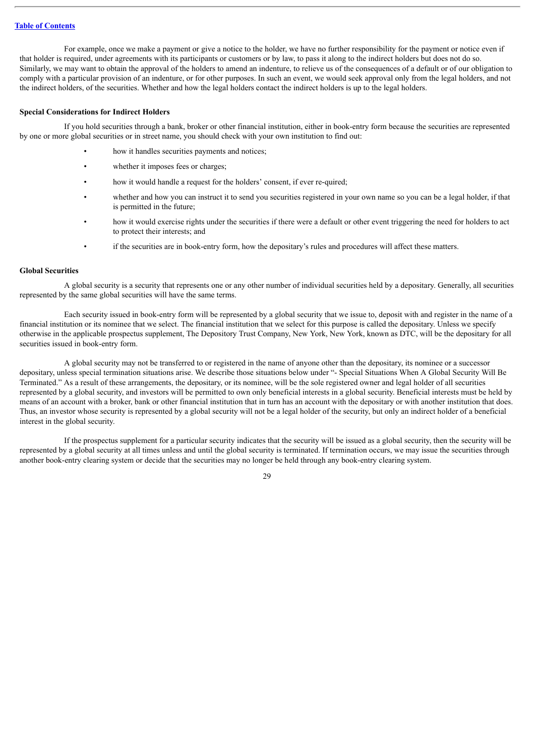For example, once we make a payment or give a notice to the holder, we have no further responsibility for the payment or notice even if that holder is required, under agreements with its participants or customers or by law, to pass it along to the indirect holders but does not do so. Similarly, we may want to obtain the approval of the holders to amend an indenture, to relieve us of the consequences of a default or of our obligation to comply with a particular provision of an indenture, or for other purposes. In such an event, we would seek approval only from the legal holders, and not the indirect holders, of the securities. Whether and how the legal holders contact the indirect holders is up to the legal holders.

#### **Special Considerations for Indirect Holders**

If you hold securities through a bank, broker or other financial institution, either in book-entry form because the securities are represented by one or more global securities or in street name, you should check with your own institution to find out:

- how it handles securities payments and notices;
- whether it imposes fees or charges;
- how it would handle a request for the holders' consent, if ever re-quired;
- whether and how you can instruct it to send you securities registered in your own name so you can be a legal holder, if that is permitted in the future;
- how it would exercise rights under the securities if there were a default or other event triggering the need for holders to act to protect their interests; and
- if the securities are in book-entry form, how the depositary's rules and procedures will affect these matters.

# **Global Securities**

A global security is a security that represents one or any other number of individual securities held by a depositary. Generally, all securities represented by the same global securities will have the same terms.

Each security issued in book-entry form will be represented by a global security that we issue to, deposit with and register in the name of a financial institution or its nominee that we select. The financial institution that we select for this purpose is called the depositary. Unless we specify otherwise in the applicable prospectus supplement, The Depository Trust Company, New York, New York, known as DTC, will be the depositary for all securities issued in book-entry form.

A global security may not be transferred to or registered in the name of anyone other than the depositary, its nominee or a successor depositary, unless special termination situations arise. We describe those situations below under "- Special Situations When A Global Security Will Be Terminated." As a result of these arrangements, the depositary, or its nominee, will be the sole registered owner and legal holder of all securities represented by a global security, and investors will be permitted to own only beneficial interests in a global security. Beneficial interests must be held by means of an account with a broker, bank or other financial institution that in turn has an account with the depositary or with another institution that does. Thus, an investor whose security is represented by a global security will not be a legal holder of the security, but only an indirect holder of a beneficial interest in the global security.

If the prospectus supplement for a particular security indicates that the security will be issued as a global security, then the security will be represented by a global security at all times unless and until the global security is terminated. If termination occurs, we may issue the securities through another book-entry clearing system or decide that the securities may no longer be held through any book-entry clearing system.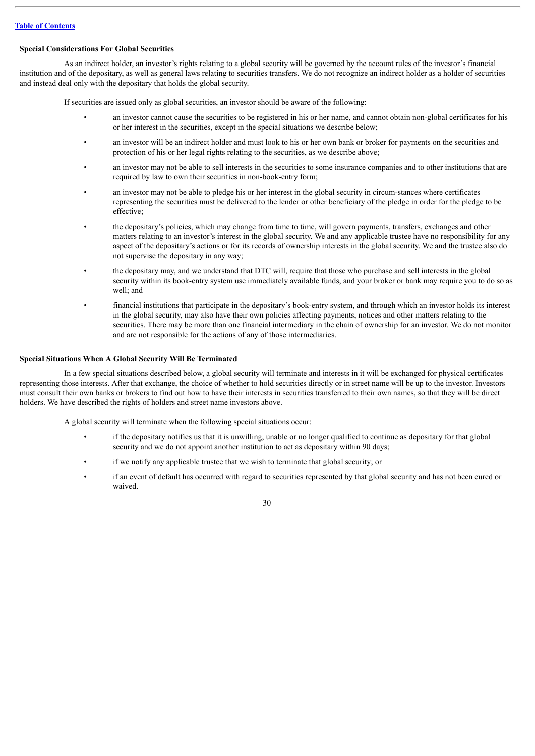#### **Special Considerations For Global Securities**

As an indirect holder, an investor's rights relating to a global security will be governed by the account rules of the investor's financial institution and of the depositary, as well as general laws relating to securities transfers. We do not recognize an indirect holder as a holder of securities and instead deal only with the depositary that holds the global security.

If securities are issued only as global securities, an investor should be aware of the following:

- an investor cannot cause the securities to be registered in his or her name, and cannot obtain non-global certificates for his or her interest in the securities, except in the special situations we describe below;
- an investor will be an indirect holder and must look to his or her own bank or broker for payments on the securities and protection of his or her legal rights relating to the securities, as we describe above;
- an investor may not be able to sell interests in the securities to some insurance companies and to other institutions that are required by law to own their securities in non-book-entry form;
- an investor may not be able to pledge his or her interest in the global security in circum-stances where certificates representing the securities must be delivered to the lender or other beneficiary of the pledge in order for the pledge to be effective;
- the depositary's policies, which may change from time to time, will govern payments, transfers, exchanges and other matters relating to an investor's interest in the global security. We and any applicable trustee have no responsibility for any aspect of the depositary's actions or for its records of ownership interests in the global security. We and the trustee also do not supervise the depositary in any way;
- the depositary may, and we understand that DTC will, require that those who purchase and sell interests in the global security within its book-entry system use immediately available funds, and your broker or bank may require you to do so as well; and
- financial institutions that participate in the depositary's book-entry system, and through which an investor holds its interest in the global security, may also have their own policies affecting payments, notices and other matters relating to the securities. There may be more than one financial intermediary in the chain of ownership for an investor. We do not monitor and are not responsible for the actions of any of those intermediaries.

#### **Special Situations When A Global Security Will Be Terminated**

In a few special situations described below, a global security will terminate and interests in it will be exchanged for physical certificates representing those interests. After that exchange, the choice of whether to hold securities directly or in street name will be up to the investor. Investors must consult their own banks or brokers to find out how to have their interests in securities transferred to their own names, so that they will be direct holders. We have described the rights of holders and street name investors above.

A global security will terminate when the following special situations occur:

- if the depositary notifies us that it is unwilling, unable or no longer qualified to continue as depositary for that global security and we do not appoint another institution to act as depositary within 90 days;
- if we notify any applicable trustee that we wish to terminate that global security; or
- if an event of default has occurred with regard to securities represented by that global security and has not been cured or waived.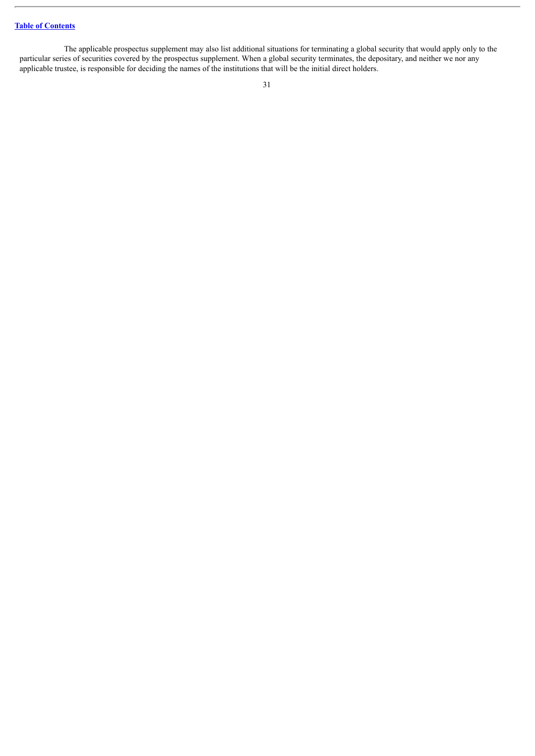The applicable prospectus supplement may also list additional situations for terminating a global security that would apply only to the particular series of securities covered by the prospectus supplement. When a global security terminates, the depositary, and neither we nor any applicable trustee, is responsible for deciding the names of the institutions that will be the initial direct holders.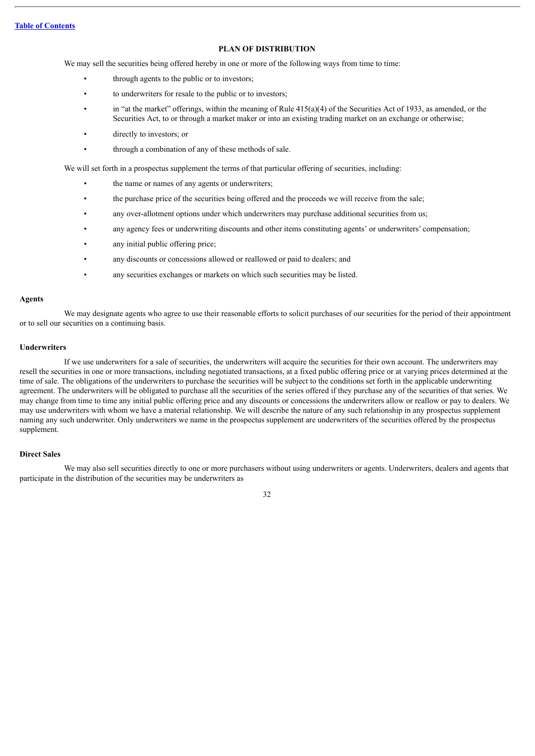#### **PLAN OF DISTRIBUTION**

<span id="page-53-0"></span>We may sell the securities being offered hereby in one or more of the following ways from time to time:

- through agents to the public or to investors;
- to underwriters for resale to the public or to investors;
- in "at the market" offerings, within the meaning of Rule  $415(a)(4)$  of the Securities Act of 1933, as amended, or the Securities Act, to or through a market maker or into an existing trading market on an exchange or otherwise;
- directly to investors; or
- through a combination of any of these methods of sale.

We will set forth in a prospectus supplement the terms of that particular offering of securities, including:

- the name or names of any agents or underwriters;
- the purchase price of the securities being offered and the proceeds we will receive from the sale;
- any over-allotment options under which underwriters may purchase additional securities from us;
- any agency fees or underwriting discounts and other items constituting agents' or underwriters' compensation;
- any initial public offering price;
- any discounts or concessions allowed or reallowed or paid to dealers; and
- any securities exchanges or markets on which such securities may be listed.

#### **Agents**

We may designate agents who agree to use their reasonable efforts to solicit purchases of our securities for the period of their appointment or to sell our securities on a continuing basis.

#### **Underwriters**

If we use underwriters for a sale of securities, the underwriters will acquire the securities for their own account. The underwriters may resell the securities in one or more transactions, including negotiated transactions, at a fixed public offering price or at varying prices determined at the time of sale. The obligations of the underwriters to purchase the securities will be subject to the conditions set forth in the applicable underwriting agreement. The underwriters will be obligated to purchase all the securities of the series offered if they purchase any of the securities of that series. We may change from time to time any initial public offering price and any discounts or concessions the underwriters allow or reallow or pay to dealers. We may use underwriters with whom we have a material relationship. We will describe the nature of any such relationship in any prospectus supplement naming any such underwriter. Only underwriters we name in the prospectus supplement are underwriters of the securities offered by the prospectus supplement.

#### **Direct Sales**

We may also sell securities directly to one or more purchasers without using underwriters or agents. Underwriters, dealers and agents that participate in the distribution of the securities may be underwriters as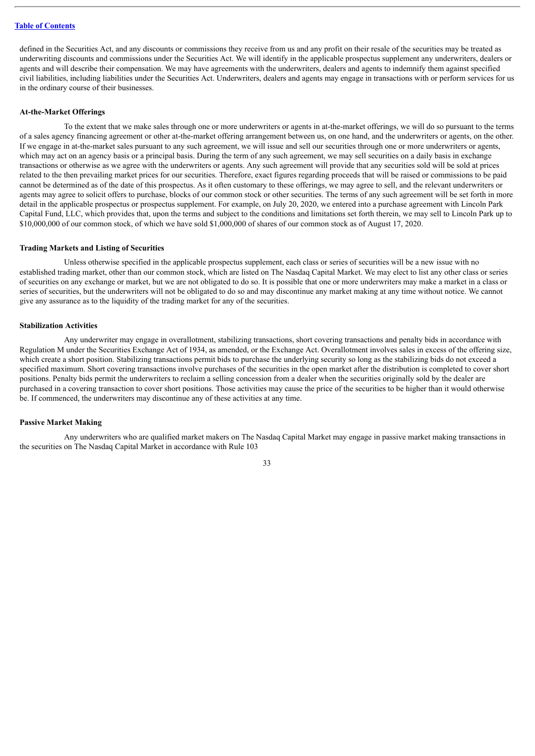defined in the Securities Act, and any discounts or commissions they receive from us and any profit on their resale of the securities may be treated as underwriting discounts and commissions under the Securities Act. We will identify in the applicable prospectus supplement any underwriters, dealers or agents and will describe their compensation. We may have agreements with the underwriters, dealers and agents to indemnify them against specified civil liabilities, including liabilities under the Securities Act. Underwriters, dealers and agents may engage in transactions with or perform services for us in the ordinary course of their businesses.

#### **At-the-Market Offerings**

To the extent that we make sales through one or more underwriters or agents in at-the-market offerings, we will do so pursuant to the terms of a sales agency financing agreement or other at-the-market offering arrangement between us, on one hand, and the underwriters or agents, on the other. If we engage in at-the-market sales pursuant to any such agreement, we will issue and sell our securities through one or more underwriters or agents, which may act on an agency basis or a principal basis. During the term of any such agreement, we may sell securities on a daily basis in exchange transactions or otherwise as we agree with the underwriters or agents. Any such agreement will provide that any securities sold will be sold at prices related to the then prevailing market prices for our securities. Therefore, exact figures regarding proceeds that will be raised or commissions to be paid cannot be determined as of the date of this prospectus. As it often customary to these offerings, we may agree to sell, and the relevant underwriters or agents may agree to solicit offers to purchase, blocks of our common stock or other securities. The terms of any such agreement will be set forth in more detail in the applicable prospectus or prospectus supplement. For example, on July 20, 2020, we entered into a purchase agreement with Lincoln Park Capital Fund, LLC, which provides that, upon the terms and subject to the conditions and limitations set forth therein, we may sell to Lincoln Park up to \$10,000,000 of our common stock, of which we have sold \$1,000,000 of shares of our common stock as of August 17, 2020.

#### **Trading Markets and Listing of Securities**

Unless otherwise specified in the applicable prospectus supplement, each class or series of securities will be a new issue with no established trading market, other than our common stock, which are listed on The Nasdaq Capital Market. We may elect to list any other class or series of securities on any exchange or market, but we are not obligated to do so. It is possible that one or more underwriters may make a market in a class or series of securities, but the underwriters will not be obligated to do so and may discontinue any market making at any time without notice. We cannot give any assurance as to the liquidity of the trading market for any of the securities.

#### **Stabilization Activities**

Any underwriter may engage in overallotment, stabilizing transactions, short covering transactions and penalty bids in accordance with Regulation M under the Securities Exchange Act of 1934, as amended, or the Exchange Act. Overallotment involves sales in excess of the offering size, which create a short position. Stabilizing transactions permit bids to purchase the underlying security so long as the stabilizing bids do not exceed a specified maximum. Short covering transactions involve purchases of the securities in the open market after the distribution is completed to cover short positions. Penalty bids permit the underwriters to reclaim a selling concession from a dealer when the securities originally sold by the dealer are purchased in a covering transaction to cover short positions. Those activities may cause the price of the securities to be higher than it would otherwise be. If commenced, the underwriters may discontinue any of these activities at any time.

#### **Passive Market Making**

Any underwriters who are qualified market makers on The Nasdaq Capital Market may engage in passive market making transactions in the securities on The Nasdaq Capital Market in accordance with Rule 103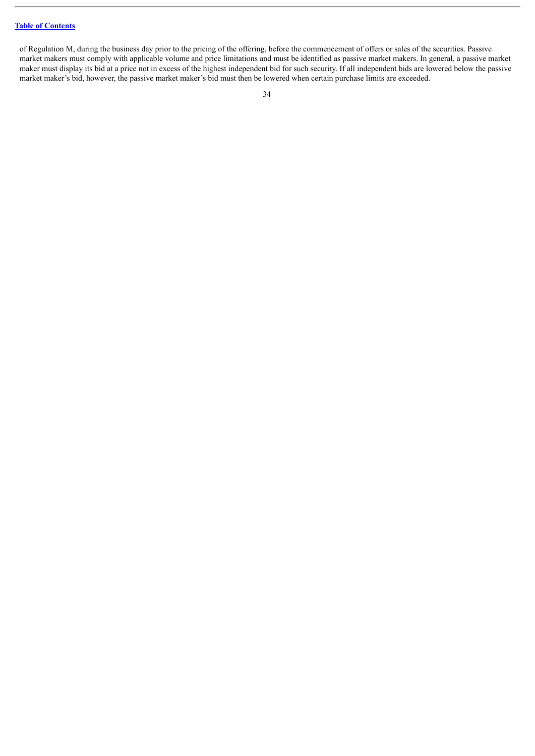of Regulation M, during the business day prior to the pricing of the offering, before the commencement of offers or sales of the securities. Passive market makers must comply with applicable volume and price limitations and must be identified as passive market makers. In general, a passive market maker must display its bid at a price not in excess of the highest independent bid for such security. If all independent bids are lowered below the passive market maker's bid, however, the passive market maker's bid must then be lowered when certain purchase limits are exceeded.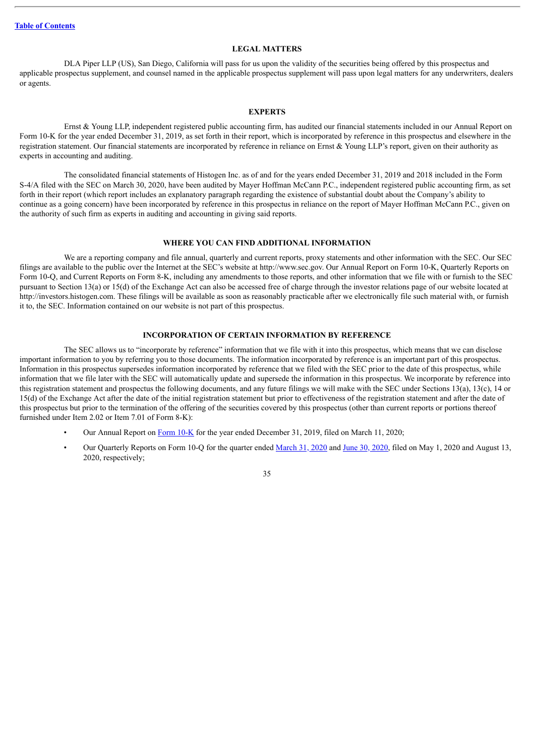#### **LEGAL MATTERS**

<span id="page-56-0"></span>DLA Piper LLP (US), San Diego, California will pass for us upon the validity of the securities being offered by this prospectus and applicable prospectus supplement, and counsel named in the applicable prospectus supplement will pass upon legal matters for any underwriters, dealers or agents.

#### **EXPERTS**

<span id="page-56-1"></span>Ernst & Young LLP, independent registered public accounting firm, has audited our financial statements included in our Annual Report on Form 10-K for the year ended December 31, 2019, as set forth in their report, which is incorporated by reference in this prospectus and elsewhere in the registration statement. Our financial statements are incorporated by reference in reliance on Ernst & Young LLP's report, given on their authority as experts in accounting and auditing.

The consolidated financial statements of Histogen Inc. as of and for the years ended December 31, 2019 and 2018 included in the Form S-4/A filed with the SEC on March 30, 2020, have been audited by Mayer Hoffman McCann P.C., independent registered public accounting firm, as set forth in their report (which report includes an explanatory paragraph regarding the existence of substantial doubt about the Company's ability to continue as a going concern) have been incorporated by reference in this prospectus in reliance on the report of Mayer Hoffman McCann P.C., given on the authority of such firm as experts in auditing and accounting in giving said reports.

#### **WHERE YOU CAN FIND ADDITIONAL INFORMATION**

<span id="page-56-2"></span>We are a reporting company and file annual, quarterly and current reports, proxy statements and other information with the SEC. Our SEC filings are available to the public over the Internet at the SEC's website at http://www.sec.gov. Our Annual Report on Form 10-K, Quarterly Reports on Form 10-Q, and Current Reports on Form 8-K, including any amendments to those reports, and other information that we file with or furnish to the SEC pursuant to Section 13(a) or 15(d) of the Exchange Act can also be accessed free of charge through the investor relations page of our website located at http://investors.histogen.com. These filings will be available as soon as reasonably practicable after we electronically file such material with, or furnish it to, the SEC. Information contained on our website is not part of this prospectus.

#### **INCORPORATION OF CERTAIN INFORMATION BY REFERENCE**

<span id="page-56-3"></span>The SEC allows us to "incorporate by reference" information that we file with it into this prospectus, which means that we can disclose important information to you by referring you to those documents. The information incorporated by reference is an important part of this prospectus. Information in this prospectus supersedes information incorporated by reference that we filed with the SEC prior to the date of this prospectus, while information that we file later with the SEC will automatically update and supersede the information in this prospectus. We incorporate by reference into this registration statement and prospectus the following documents, and any future filings we will make with the SEC under Sections 13(a), 13(c), 14 or 15(d) of the Exchange Act after the date of the initial registration statement but prior to effectiveness of the registration statement and after the date of this prospectus but prior to the termination of the offering of the securities covered by this prospectus (other than current reports or portions thereof furnished under Item 2.02 or Item 7.01 of Form 8-K):

- Our Annual Report on [Form](http://www.sec.gov/Archives/edgar/data/1383701/000156459020010122/cnat-10k_20191231.htm) 10-K for the year ended December 31, 2019, filed on March 11, 2020;
- Our Quarterly Reports on Form 10-Q for the quarter ended [March](http://www.sec.gov/Archives/edgar/data/1383701/000156459020020517/cnat-10q_20200331.htm) 31, 2020 and June 30, [2020,](http://www.sec.gov/Archives/edgar/data/1383701/000156459020040035/hsto-10q_20200630.htm) filed on May 1, 2020 and August 13, 2020, respectively;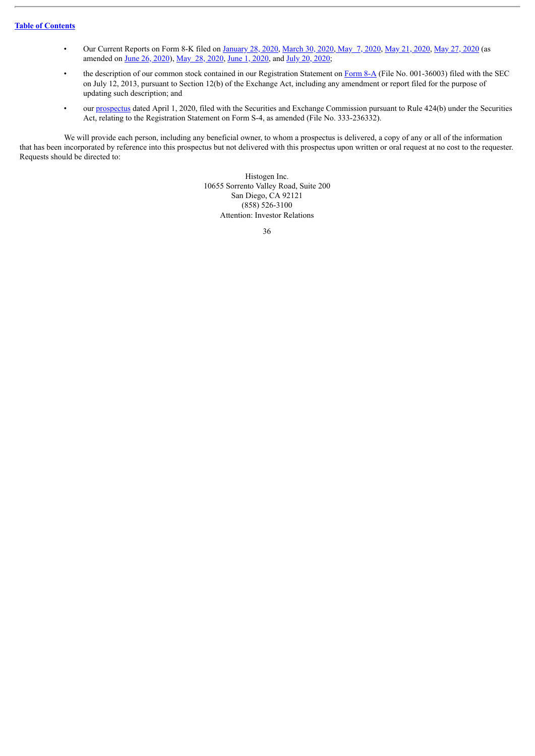- Our Current Reports on Form 8-K filed on [January](http://www.sec.gov/Archives/edgar/data/1383701/000119312520016930/d875852d8k.htm) 28, 2020, [March](http://www.sec.gov/Archives/edgar/data/1383701/000156459020014191/cnat-8k_20200330.htm) 30, [2020,](http://www.sec.gov/Archives/edgar/data/1383701/000119312520148679/d932971d8k.htm) May 7, [2020](http://www.sec.gov/Archives/edgar/data/1383701/000119312520152366/d925005d8k.htm), May 21, 2020, May 27, 2020 (as amended on June 26, [2020\)](http://www.sec.gov/Archives/edgar/data/1383701/000119312520181137/d879834d8ka.htm), May 28, [2020,](http://www.sec.gov/Archives/edgar/data/1383701/000119312520153827/d929666d8k.htm) June 1, [2020](http://www.sec.gov/Archives/edgar/data/1383701/000119312520156548/d830291d8k.htm), and July 20, [2020](http://www.sec.gov/Archives/edgar/data/1383701/000119312520195522/d51427d8k.htm);
- the description of our common stock contained in our Registration Statement on [Form](http://www.sec.gov/Archives/edgar/data/1383701/000119312513289429/d567418d8a12b.htm) 8-A (File No. 001-36003) filed with the SEC on July 12, 2013, pursuant to Section 12(b) of the Exchange Act, including any amendment or report filed for the purpose of updating such description; and
- our [prospectus](http://www.sec.gov/Archives/edgar/data/1383701/000119312520094708/d875861d424b3.htm) dated April 1, 2020, filed with the Securities and Exchange Commission pursuant to Rule 424(b) under the Securities Act, relating to the Registration Statement on Form S-4, as amended (File No. 333-236332).

We will provide each person, including any beneficial owner, to whom a prospectus is delivered, a copy of any or all of the information that has been incorporated by reference into this prospectus but not delivered with this prospectus upon written or oral request at no cost to the requester. Requests should be directed to:

> Histogen Inc. 10655 Sorrento Valley Road, Suite 200 San Diego, CA 92121 (858) 526-3100 Attention: Investor Relations